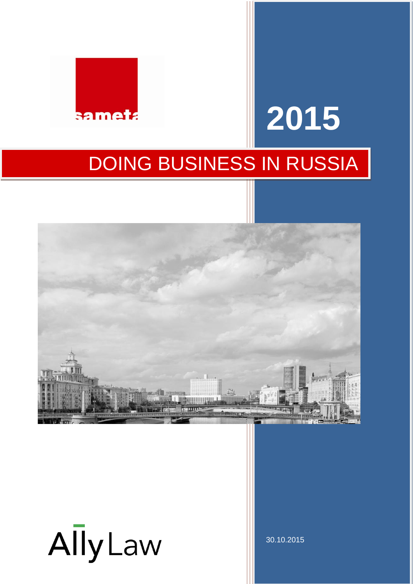

# **2015** DOING BUSINESS IN RUSSIA



30.10.2015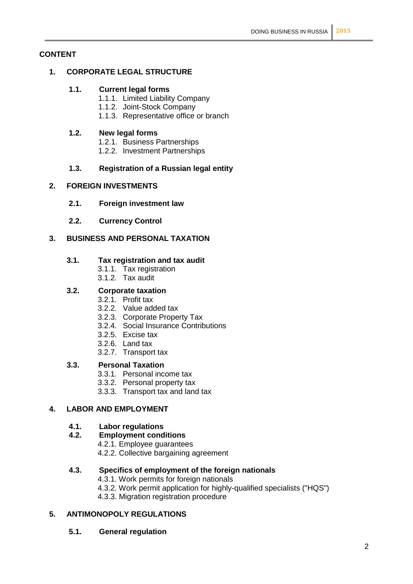#### **CONTENT**

#### **1. CORPORATE LEGAL STRUCTURE**

#### **1.1. Current legal forms**

- 1.1.1. Limited Liability Company
- 1.1.2. Joint-Stock Company
- 1.1.3. Representative office or branch

#### **1.2. New legal forms**

- 1.2.1. Business Partnerships
- 1.2.2. Investment Partnerships

#### **1.3. Registration of a Russian legal entity**

#### **2. FOREIGN INVESTMENTS**

- **2.1. Foreign investment law**
- **2.2. Currency Control**

#### **3. BUSINESS AND PERSONAL TAXATION**

#### **3.1. Tax registration and tax audit**

- 3.1.1. Tax registration
- 3.1.2. Tax audit

#### **3.2. Corporate taxation**

- 3.2.1. Profit tax
- 3.2.2. Value added tax
- 3.2.3. Corporate Property Tax
- 3.2.4. Social Insurance Contributions
- 3.2.5. Excise tax
- 3.2.6. Land tax
- 3.2.7. Transport tax

#### **3.3. Personal Taxation**

- 3.3.1. Personal income tax
- 3.3.2. Personal property tax
- 3.3.3. Transport tax and land tax

### **4. LABOR AND EMPLOYMENT**

#### **4.1. Labor regulations**

#### **4.2. Employment conditions**

- 4.2.1. Employee guarantees
- 4.2.2. Collective bargaining agreement

#### **4.3. Specifics of employment of the foreign nationals**

- 4.3.1. Work permits for foreign nationals
- 4.3.2. Work permit application for highly-qualified specialists ("HQS")
- 4.3.3. Migration registration procedure

#### **5. ANTIMONOPOLY REGULATIONS**

#### **5.1. General regulation**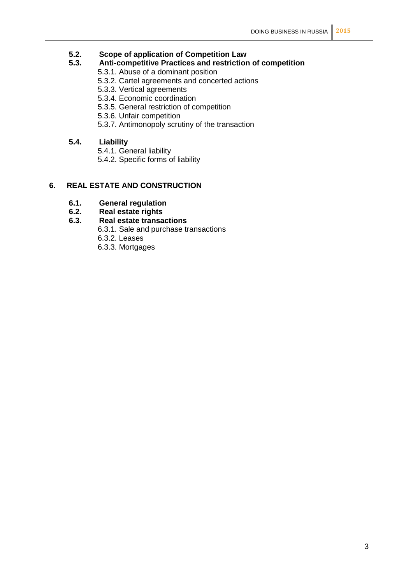## **5.2. Scope of application of Competition Law**

#### **5.3. Anti-competitive Practices and restriction of competition**

- 5.3.1. Abuse of a dominant position
- 5.3.2. Cartel agreements and concerted actions
- 5.3.3. Vertical agreements
- 5.3.4. Economic coordination
- 5.3.5. General restriction of competition
- 5.3.6. Unfair competition
- 5.3.7. Antimonopoly scrutiny of the transaction

#### **5.4. Liability**

- 5.4.1. General liability
- 5.4.2. Specific forms of liability

#### **6. REAL ESTATE AND CONSTRUCTION**

- **6.1. General regulation**
- **6.2. Real estate rights**

#### **6.3. Real estate transactions**

- 6.3.1. Sale and purchase transactions
- 6.3.2. Leases
- 6.3.3. Mortgages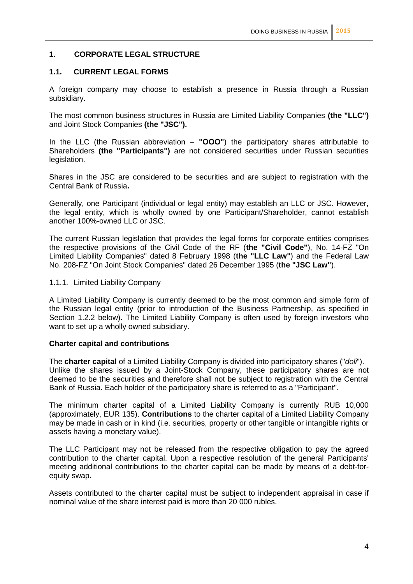#### **1. CORPORATE LEGAL STRUCTURE**

#### **1.1. CURRENT LEGAL FORMS**

A foreign company may choose to establish a presence in Russia through a Russian subsidiary.

The most common business structures in Russia are Limited Liability Companies **(the "LLC")** and Joint Stock Companies **(the "JSC").**

In the LLC (the Russian abbreviation – **"ООО"**) the participatory shares attributable to Shareholders **(the "Participants")** are not considered securities under Russian securities legislation.

Shares in the JSC are considered to be securities and are subject to registration with the Central Bank of Russia**.**

Generally, one Participant (individual or legal entity) may establish an LLC or JSC. However, the legal entity, which is wholly owned by one Participant/Shareholder, cannot establish another 100%-owned LLC or JSC.

The current Russian legislation that provides the legal forms for corporate entities comprises the respective provisions of the Civil Code of the RF (**the "Civil Code"**), No. 14-FZ "On Limited Liability Companies" dated 8 February 1998 (**the "LLC Law"**) and the Federal Law No. 208-FZ "On Joint Stock Companies" dated 26 December 1995 (**the "JSC Law"**).

#### 1.1.1. Limited Liability Company

A Limited Liability Company is currently deemed to be the most common and simple form of the Russian legal entity (prior to introduction of the Business Partnership, as specified in Section 1.2.2 below). The Limited Liability Company is often used by foreign investors who want to set up a wholly owned subsidiary.

#### **Charter capital and contributions**

The **charter capital** of a Limited Liability Company is divided into participatory shares ("*doli*"). Unlike the shares issued by a Joint-Stock Company, these participatory shares are not deemed to be the securities and therefore shall not be subject to registration with the Central Bank of Russia. Each holder of the participatory share is referred to as a "Participant".

The minimum charter capital of a Limited Liability Company is currently RUB 10,000 (approximately, EUR 135). **Contributions** to the charter capital of a Limited Liability Company may be made in cash or in kind (i.e. securities, property or other tangible or intangible rights or assets having a monetary value).

The LLC Participant may not be released from the respective obligation to pay the agreed contribution to the charter capital. Upon a respective resolution of the general Participants' meeting additional contributions to the charter capital can be made by means of a debt-forequity swap.

Assets contributed to the charter capital must be subject to independent appraisal in case if nominal value of the share interest paid is more than 20 000 rubles.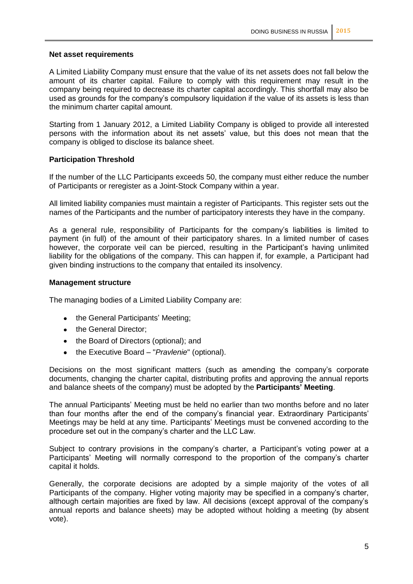#### **Net asset requirements**

A Limited Liability Company must ensure that the value of its net assets does not fall below the amount of its charter capital. Failure to comply with this requirement may result in the company being required to decrease its charter capital accordingly. This shortfall may also be used as grounds for the company's compulsory liquidation if the value of its assets is less than the minimum charter capital amount.

Starting from 1 January 2012, a Limited Liability Company is obliged to provide all interested persons with the information about its net assets' value, but this does not mean that the company is obliged to disclose its balance sheet.

#### **Participation Threshold**

If the number of the LLC Participants exceeds 50, the company must either reduce the number of Participants or reregister as a Joint-Stock Company within a year.

All limited liability companies must maintain a register of Participants. This register sets out the names of the Participants and the number of participatory interests they have in the company.

As a general rule, responsibility of Participants for the company's liabilities is limited to payment (in full) of the amount of their participatory shares. In a limited number of cases however, the corporate veil can be pierced, resulting in the Participant's having unlimited liability for the obligations of the company. This can happen if, for example, a Participant had given binding instructions to the company that entailed its insolvency.

#### **Management structure**

The managing bodies of a Limited Liability Company are:

- the General Participants' Meeting;
- the General Director;
- the Board of Directors (optional); and
- the Executive Board "*Pravlenie*" (optional).  $\bullet$

Decisions on the most significant matters (such as amending the company's corporate documents, changing the charter capital, distributing profits and approving the annual reports and balance sheets of the company) must be adopted by the **Participants' Meeting**.

The annual Participants' Meeting must be held no earlier than two months before and no later than four months after the end of the company's financial year. Extraordinary Participants' Meetings may be held at any time. Participants' Meetings must be convened according to the procedure set out in the company's charter and the LLC Law.

Subject to contrary provisions in the company's charter, a Participant's voting power at a Participants' Meeting will normally correspond to the proportion of the company's charter capital it holds.

Generally, the corporate decisions are adopted by a simple majority of the votes of all Participants of the company. Higher voting majority may be specified in a company's charter. although certain majorities are fixed by law. All decisions (except approval of the company's annual reports and balance sheets) may be adopted without holding a meeting (by absent vote).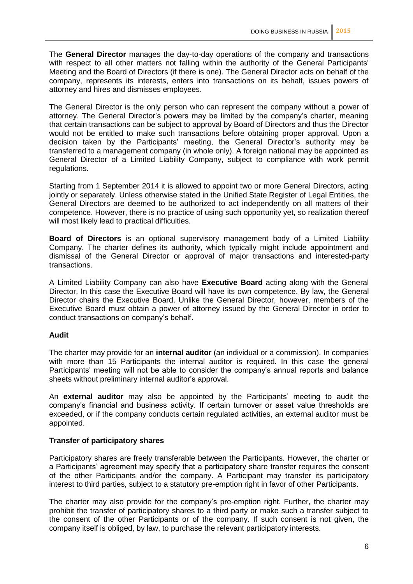The **General Director** manages the day-to-day operations of the company and transactions with respect to all other matters not falling within the authority of the General Participants' Meeting and the Board of Directors (if there is one). The General Director acts on behalf of the company, represents its interests, enters into transactions on its behalf, issues powers of attorney and hires and dismisses employees.

The General Director is the only person who can represent the company without a power of attorney. The General Director's powers may be limited by the company's charter, meaning that certain transactions can be subject to approval by Board of Directors and thus the Director would not be entitled to make such transactions before obtaining proper approval. Upon a decision taken by the Participants' meeting, the General Director's authority may be transferred to a management company (in whole only). A foreign national may be appointed as General Director of a Limited Liability Company, subject to compliance with work permit regulations.

Starting from 1 September 2014 it is allowed to appoint two or more General Directors, acting jointly or separately. Unless otherwise stated in the Unified State Register of Legal Entities, the General Directors are deemed to be authorized to act independently on all matters of their competence. However, there is no practice of using such opportunity yet, so realization thereof will most likely lead to practical difficulties.

**Board of Directors** is an optional supervisory management body of a Limited Liability Company. The charter defines its authority, which typically might include appointment and dismissal of the General Director or approval of major transactions and interested-party transactions.

A Limited Liability Company can also have **Executive Board** acting along with the General Director. In this case the Executive Board will have its own competence. By law, the General Director chairs the Executive Board. Unlike the General Director, however, members of the Executive Board must obtain a power of attorney issued by the General Director in order to conduct transactions on company's behalf.

#### **Audit**

The charter may provide for an **internal auditor** (an individual or a commission). In companies with more than 15 Participants the internal auditor is required. In this case the general Participants' meeting will not be able to consider the company's annual reports and balance sheets without preliminary internal auditor's approval.

An **external auditor** may also be appointed by the Participants' meeting to audit the company's financial and business activity. If certain turnover or asset value thresholds are exceeded, or if the company conducts certain regulated activities, an external auditor must be appointed.

#### **Transfer of participatory shares**

Participatory shares are freely transferable between the Participants. However, the charter or a Participants' agreement may specify that a participatory share transfer requires the consent of the other Participants and/or the company. A Participant may transfer its participatory interest to third parties, subject to a statutory pre-emption right in favor of other Participants.

The charter may also provide for the company's pre-emption right. Further, the charter may prohibit the transfer of participatory shares to a third party or make such a transfer subject to the consent of the other Participants or of the company. If such consent is not given, the company itself is obliged, by law, to purchase the relevant participatory interests.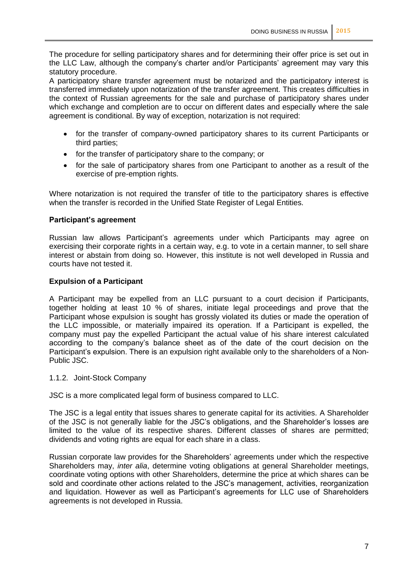The procedure for selling participatory shares and for determining their offer price is set out in the LLC Law, although the company's charter and/or Participants' agreement may vary this statutory procedure.

A participatory share transfer agreement must be notarized and the participatory interest is transferred immediately upon notarization of the transfer agreement. This creates difficulties in the context of Russian agreements for the sale and purchase of participatory shares under which exchange and completion are to occur on different dates and especially where the sale agreement is conditional. By way of exception, notarization is not required:

- for the transfer of company-owned participatory shares to its current Participants or  $\bullet$ third parties;
- for the transfer of participatory share to the company; or  $\bullet$
- for the sale of participatory shares from one Participant to another as a result of the exercise of pre-emption rights.

Where notarization is not required the transfer of title to the participatory shares is effective when the transfer is recorded in the Unified State Register of Legal Entities.

#### **Participant's agreement**

Russian law allows Participant's agreements under which Participants may agree on exercising their corporate rights in a certain way, e.g. to vote in a certain manner, to sell share interest or abstain from doing so. However, this institute is not well developed in Russia and courts have not tested it.

#### **Expulsion of a Participant**

A Participant may be expelled from an LLC pursuant to a court decision if Participants, together holding at least 10 % of shares, initiate legal proceedings and prove that the Participant whose expulsion is sought has grossly violated its duties or made the operation of the LLC impossible, or materially impaired its operation. If a Participant is expelled, the company must pay the expelled Participant the actual value of his share interest calculated according to the company's balance sheet as of the date of the court decision on the Participant's expulsion. There is an expulsion right available only to the shareholders of a Non-Public JSC.

#### 1.1.2. Joint-Stock Company

JSC is a more complicated legal form of business compared to LLC.

The JSC is a legal entity that issues shares to generate capital for its activities. A Shareholder of the JSC is not generally liable for the JSC's obligations, and the Shareholder's losses are limited to the value of its respective shares. Different classes of shares are permitted; dividends and voting rights are equal for each share in a class.

Russian corporate law provides for the Shareholders' agreements under which the respective Shareholders may, *inter alia*, determine voting obligations at general Shareholder meetings, coordinate voting options with other Shareholders, determine the price at which shares can be sold and coordinate other actions related to the JSC's management, activities, reorganization and liquidation. However as well as Participant's agreements for LLC use of Shareholders agreements is not developed in Russia.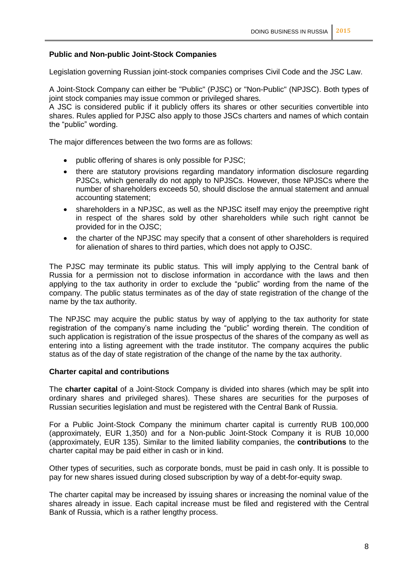#### **Public and Non-public Joint-Stock Companies**

Legislation governing Russian joint-stock companies comprises Civil Code and the JSC Law.

A Joint-Stock Company can either be "Public" (PJSC) or "Non-Public" (NPJSC). Both types of joint stock companies may issue common or privileged shares.

A JSC is considered public if it publicly offers its shares or other securities convertible into shares. Rules applied for PJSC also apply to those JSCs charters and names of which contain the "public" wording.

The major differences between the two forms are as follows:

- public offering of shares is only possible for PJSC;
- there are statutory provisions regarding mandatory information disclosure regarding PJSCs, which generally do not apply to NPJSCs. However, those NPJSCs where the number of shareholders exceeds 50, should disclose the annual statement and annual accounting statement;
- $\bullet$ shareholders in a NPJSC, as well as the NPJSC itself may enjoy the preemptive right in respect of the shares sold by other shareholders while such right cannot be provided for in the OJSC;
- the charter of the NPJSC may specify that a consent of other shareholders is required  $\bullet$ for alienation of shares to third parties, which does not apply to OJSC.

The PJSC may terminate its public status. This will imply applying to the Central bank of Russia for a permission not to disclose information in accordance with the laws and then applying to the tax authority in order to exclude the "public" wording from the name of the company. The public status terminates as of the day of state registration of the change of the name by the tax authority.

The NPJSC may acquire the public status by way of applying to the tax authority for state registration of the company's name including the "public" wording therein. The condition of such application is registration of the issue prospectus of the shares of the company as well as entering into a listing agreement with the trade institutor. The company acquires the public status as of the day of state registration of the change of the name by the tax authority.

#### **Charter capital and contributions**

The **charter capital** of a Joint-Stock Company is divided into shares (which may be split into ordinary shares and privileged shares). These shares are securities for the purposes of Russian securities legislation and must be registered with the Central Bank of Russia.

For a Public Joint-Stock Company the minimum charter capital is currently RUB 100,000 (approximately, EUR 1,350) and for a Non-public Joint-Stock Company it is RUB 10,000 (approximately, EUR 135). Similar to the limited liability companies, the **contributions** to the charter capital may be paid either in cash or in kind.

Other types of securities, such as corporate bonds, must be paid in cash only. It is possible to pay for new shares issued during closed subscription by way of a debt-for-equity swap.

The charter capital may be increased by issuing shares or increasing the nominal value of the shares already in issue. Each capital increase must be filed and registered with the Central Bank of Russia, which is a rather lengthy process.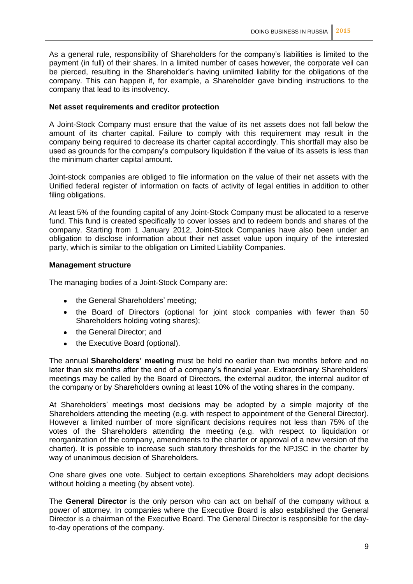As a general rule, responsibility of Shareholders for the company's liabilities is limited to the payment (in full) of their shares. In a limited number of cases however, the corporate veil can be pierced, resulting in the Shareholder's having unlimited liability for the obligations of the company. This can happen if, for example, a Shareholder gave binding instructions to the company that lead to its insolvency.

#### **Net asset requirements and creditor protection**

A Joint-Stock Company must ensure that the value of its net assets does not fall below the amount of its charter capital. Failure to comply with this requirement may result in the company being required to decrease its charter capital accordingly. This shortfall may also be used as grounds for the company's compulsory liquidation if the value of its assets is less than the minimum charter capital amount.

Joint-stock companies are obliged to file information on the value of their net assets with the Unified federal register of information on facts of activity of legal entities in addition to other filing obligations.

At least 5% of the founding capital of any Joint-Stock Company must be allocated to a reserve fund. This fund is created specifically to cover losses and to redeem bonds and shares of the company. Starting from 1 January 2012, Joint-Stock Companies have also been under an obligation to disclose information about their net asset value upon inquiry of the interested party, which is similar to the obligation on Limited Liability Companies.

#### **Management structure**

The managing bodies of a Joint-Stock Company are:

- the General Shareholders' meeting;
- the Board of Directors (optional for joint stock companies with fewer than 50 Shareholders holding voting shares);
- the General Director; and
- the Executive Board (optional).  $\bullet$

The annual **Shareholders' meeting** must be held no earlier than two months before and no later than six months after the end of a company's financial year. Extraordinary Shareholders' meetings may be called by the Board of Directors, the external auditor, the internal auditor of the company or by Shareholders owning at least 10% of the voting shares in the company.

At Shareholders' meetings most decisions may be adopted by a simple majority of the Shareholders attending the meeting (e.g. with respect to appointment of the General Director). However a limited number of more significant decisions requires not less than 75% of the votes of the Shareholders attending the meeting (e.g. with respect to liquidation or reorganization of the company, amendments to the charter or approval of a new version of the charter). It is possible to increase such statutory thresholds for the NPJSC in the charter by way of unanimous decision of Shareholders.

One share gives one vote. Subject to certain exceptions Shareholders may adopt decisions without holding a meeting (by absent vote).

The **General Director** is the only person who can act on behalf of the company without a power of attorney. In companies where the Executive Board is also established the General Director is a chairman of the Executive Board. The General Director is responsible for the dayto-day operations of the company.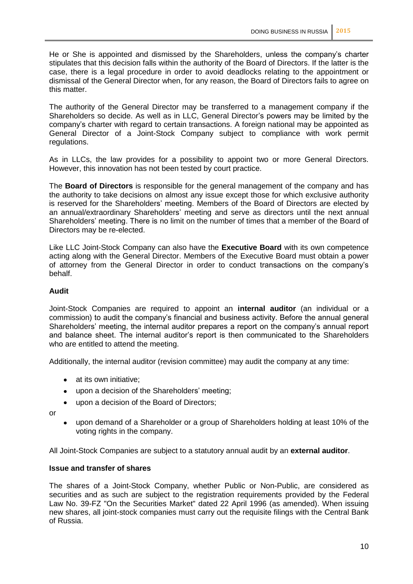He or She is appointed and dismissed by the Shareholders, unless the company's charter stipulates that this decision falls within the authority of the Board of Directors. If the latter is the case, there is a legal procedure in order to avoid deadlocks relating to the appointment or dismissal of the General Director when, for any reason, the Board of Directors fails to agree on this matter.

The authority of the General Director may be transferred to a management company if the Shareholders so decide. As well as in LLC, General Director's powers may be limited by the company's charter with regard to certain transactions. A foreign national may be appointed as General Director of a Joint-Stock Company subject to compliance with work permit regulations.

As in LLCs, the law provides for a possibility to appoint two or more General Directors. However, this innovation has not been tested by court practice.

The **Board of Directors** is responsible for the general management of the company and has the authority to take decisions on almost any issue except those for which exclusive authority is reserved for the Shareholders' meeting. Members of the Board of Directors are elected by an annual/extraordinary Shareholders' meeting and serve as directors until the next annual Shareholders' meeting. There is no limit on the number of times that a member of the Board of Directors may be re-elected.

Like LLC Joint-Stock Company can also have the **Executive Board** with its own competence acting along with the General Director. Members of the Executive Board must obtain a power of attorney from the General Director in order to conduct transactions on the company's behalf.

#### **Audit**

Joint-Stock Companies are required to appoint an **internal auditor** (an individual or a commission) to audit the company's financial and business activity. Before the annual general Shareholders' meeting, the internal auditor prepares a report on the company's annual report and balance sheet. The internal auditor's report is then communicated to the Shareholders who are entitled to attend the meeting.

Additionally, the internal auditor (revision committee) may audit the company at any time:

- $\bullet$ at its own initiative;
- upon a decision of the Shareholders' meeting;
- upon a decision of the Board of Directors;
- or
- upon demand of a Shareholder or a group of Shareholders holding at least 10% of the voting rights in the company.

All Joint-Stock Companies are subject to a statutory annual audit by an **external auditor**.

#### **Issue and transfer of shares**

The shares of a Joint-Stock Company, whether Public or Non-Public, are considered as securities and as such are subject to the registration requirements provided by the Federal Law No. 39-FZ "On the Securities Market" dated 22 April 1996 (as amended). When issuing new shares, all joint-stock companies must carry out the requisite filings with the Central Bank of Russia.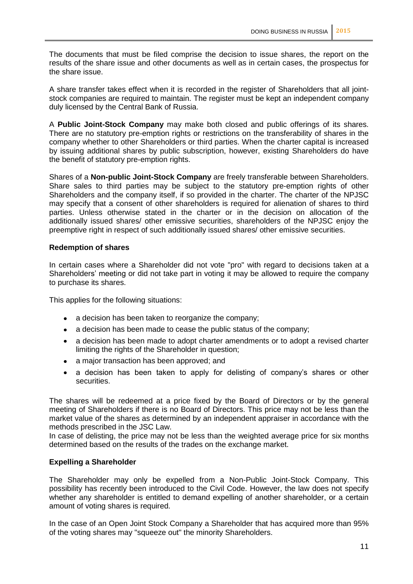The documents that must be filed comprise the decision to issue shares, the report on the results of the share issue and other documents as well as in certain cases, the prospectus for the share issue.

A share transfer takes effect when it is recorded in the register of Shareholders that all jointstock companies are required to maintain. The register must be kept an independent company duly licensed by the Central Bank of Russia.

A **Public Joint-Stock Company** may make both closed and public offerings of its shares. There are no statutory pre-emption rights or restrictions on the transferability of shares in the company whether to other Shareholders or third parties. When the charter capital is increased by issuing additional shares by public subscription, however, existing Shareholders do have the benefit of statutory pre-emption rights.

Shares of a **Non-public Joint-Stock Company** are freely transferable between Shareholders. Share sales to third parties may be subject to the statutory pre-emption rights of other Shareholders and the company itself, if so provided in the charter. The charter of the NPJSC may specify that a consent of other shareholders is required for alienation of shares to third parties. Unless otherwise stated in the charter or in the decision on allocation of the additionally issued shares/ other emissive securities, shareholders of the NPJSC enjoy the preemptive right in respect of such additionally issued shares/ other emissive securities.

#### **Redemption of shares**

In certain cases where a Shareholder did not vote "pro" with regard to decisions taken at a Shareholders' meeting or did not take part in voting it may be allowed to require the company to purchase its shares.

This applies for the following situations:

- a decision has been taken to reorganize the company;
- a decision has been made to cease the public status of the company;  $\bullet$
- a decision has been made to adopt charter amendments or to adopt a revised charter  $\bullet$ limiting the rights of the Shareholder in question;
- a major transaction has been approved; and  $\bullet$
- a decision has been taken to apply for delisting of company's shares or other  $\bullet$ securities.

The shares will be redeemed at a price fixed by the Board of Directors or by the general meeting of Shareholders if there is no Board of Directors. This price may not be less than the market value of the shares as determined by an independent appraiser in accordance with the methods prescribed in the JSC Law.

In case of delisting, the price may not be less than the weighted average price for six months determined based on the results of the trades on the exchange market.

#### **Expelling a Shareholder**

The Shareholder may only be expelled from a Non-Public Joint-Stock Company. This possibility has recently been introduced to the Civil Code. However, the law does not specify whether any shareholder is entitled to demand expelling of another shareholder, or a certain amount of voting shares is required.

In the case of an Open Joint Stock Company a Shareholder that has acquired more than 95% of the voting shares may "squeeze out" the minority Shareholders.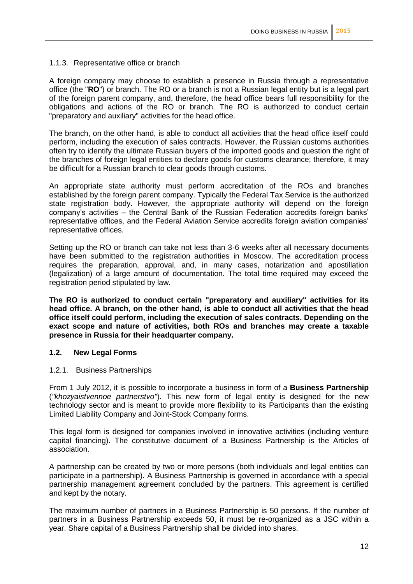#### 1.1.3. Representative office or branch

A foreign company may choose to establish a presence in Russia through a representative office (the "**RO**") or branch. The RO or a branch is not a Russian legal entity but is a legal part of the foreign parent company, and, therefore, the head office bears full responsibility for the obligations and actions of the RO or branch. The RO is authorized to conduct certain "preparatory and auxiliary" activities for the head office.

The branch, on the other hand, is able to conduct all activities that the head office itself could perform, including the execution of sales contracts. However, the Russian customs authorities often try to identify the ultimate Russian buyers of the imported goods and question the right of the branches of foreign legal entities to declare goods for customs clearance; therefore, it may be difficult for a Russian branch to clear goods through customs.

An appropriate state authority must perform accreditation of the ROs and branches established by the foreign parent company. Typically the Federal Tax Service is the authorized state registration body. However, the appropriate authority will depend on the foreign company's activities – the Central Bank of the Russian Federation accredits foreign banks' representative offices, and the Federal Aviation Service accredits foreign aviation companies' representative offices.

Setting up the RO or branch can take not less than 3-6 weeks after all necessary documents have been submitted to the registration authorities in Moscow. The accreditation process requires the preparation, approval, and, in many cases, notarization and apostillation (legalization) of a large amount of documentation. The total time required may exceed the registration period stipulated by law.

**The RO is authorized to conduct certain "preparatory and auxiliary" activities for its head office. A branch, on the other hand, is able to conduct all activities that the head office itself could perform, including the execution of sales contracts. Depending on the exact scope and nature of activities, both ROs and branches may create a taxable presence in Russia for their headquarter company.**

#### **1.2. New Legal Forms**

#### 1.2.1. Business Partnerships

From 1 July 2012, it is possible to incorporate a business in form of a **Business Partnership** (*"khozyaistvennoe partnerstvo"*). This new form of legal entity is designed for the new technology sector and is meant to provide more flexibility to its Participants than the existing Limited Liability Company and Joint-Stock Company forms.

This legal form is designed for companies involved in innovative activities (including venture capital financing). The constitutive document of a Business Partnership is the Articles of association.

A partnership can be created by two or more persons (both individuals and legal entities can participate in a partnership). A Business Partnership is governed in accordance with a special partnership management agreement concluded by the partners. This agreement is certified and kept by the notary.

The maximum number of partners in a Business Partnership is 50 persons. If the number of partners in a Business Partnership exceeds 50, it must be re-organized as a JSC within a year. Share capital of a Business Partnership shall be divided into shares.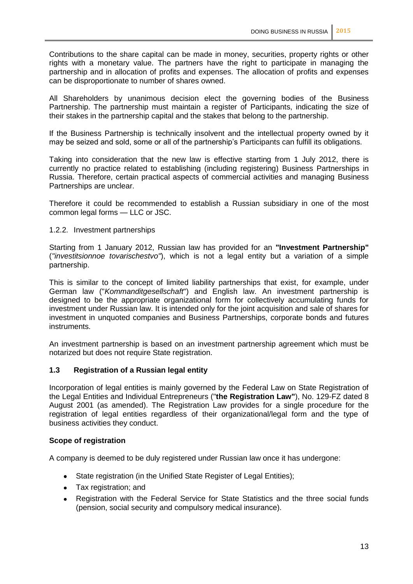Contributions to the share capital can be made in money, securities, property rights or other rights with a monetary value. The partners have the right to participate in managing the partnership and in allocation of profits and expenses. The allocation of profits and expenses can be disproportionate to number of shares owned.

All Shareholders by unanimous decision elect the governing bodies of the Business Partnership. The partnership must maintain a register of Participants, indicating the size of their stakes in the partnership capital and the stakes that belong to the partnership.

If the Business Partnership is technically insolvent and the intellectual property owned by it may be seized and sold, some or all of the partnership's Participants can fulfill its obligations.

Taking into consideration that the new law is effective starting from 1 July 2012, there is currently no practice related to establishing (including registering) Business Partnerships in Russia. Therefore, certain practical aspects of commercial activities and managing Business Partnerships are unclear.

Therefore it could be recommended to establish a Russian subsidiary in one of the most common legal forms — LLC or JSC.

#### 1.2.2. Investment partnerships

Starting from 1 January 2012, Russian law has provided for an **"Investment Partnership"** (*"investitsionnoe tovarischestvo"*), which is not a legal entity but a variation of a simple partnership.

This is similar to the concept of limited liability partnerships that exist, for example, under German law ("*Kommanditgesellschaft*") and English law. An investment partnership is designed to be the appropriate organizational form for collectively accumulating funds for investment under Russian law. It is intended only for the joint acquisition and sale of shares for investment in unquoted companies and Business Partnerships, corporate bonds and futures instruments.

An investment partnership is based on an investment partnership agreement which must be notarized but does not require State registration.

#### **1.3 Registration of a Russian legal entity**

Incorporation of legal entities is mainly governed by the Federal Law on State Registration of the Legal Entities and Individual Entrepreneurs ("**the Registration Law"**), No. 129-FZ dated 8 August 2001 (as amended). The Registration Law provides for a single procedure for the registration of legal entities regardless of their organizational/legal form and the type of business activities they conduct.

#### **Scope of registration**

A company is deemed to be duly registered under Russian law once it has undergone:

- State registration (in the Unified State Register of Legal Entities);
- Tax registration; and  $\bullet$
- Registration with the Federal Service for State Statistics and the three social funds (pension, social security and compulsory medical insurance).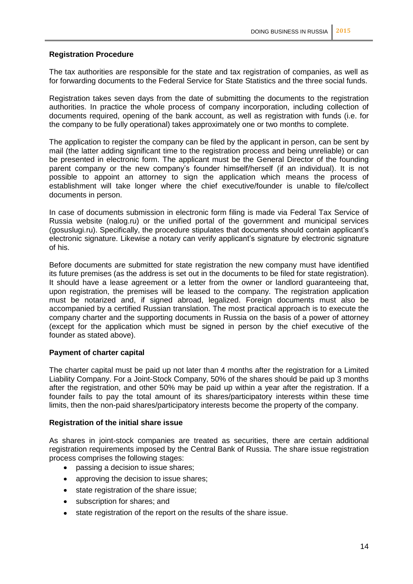#### **Registration Procedure**

The tax authorities are responsible for the state and tax registration of companies, as well as for forwarding documents to the Federal Service for State Statistics and the three social funds.

Registration takes seven days from the date of submitting the documents to the registration authorities. In practice the whole process of company incorporation, including collection of documents required, opening of the bank account, as well as registration with funds (i.e. for the company to be fully operational) takes approximately one or two months to complete.

The application to register the company can be filed by the applicant in person, can be sent by mail (the latter adding significant time to the registration process and being unreliable) or can be presented in electronic form. The applicant must be the General Director of the founding parent company or the new company's founder himself/herself (if an individual). It is not possible to appoint an attorney to sign the application which means the process of establishment will take longer where the chief executive/founder is unable to file/collect documents in person.

In case of documents submission in electronic form filing is made via Federal Tax Service of Russia website (nalog.ru) or the unified portal of the government and municipal services (gosuslugi.ru). Specifically, the procedure stipulates that documents should contain applicant's electronic signature. Likewise a notary can verify applicant's signature by electronic signature of his.

Before documents are submitted for state registration the new company must have identified its future premises (as the address is set out in the documents to be filed for state registration). It should have a lease agreement or a letter from the owner or landlord guaranteeing that, upon registration, the premises will be leased to the company. The registration application must be notarized and, if signed abroad, legalized. Foreign documents must also be accompanied by a certified Russian translation. The most practical approach is to execute the company charter and the supporting documents in Russia on the basis of a power of attorney (except for the application which must be signed in person by the chief executive of the founder as stated above).

#### **Payment of charter capital**

The charter capital must be paid up not later than 4 months after the registration for a Limited Liability Company. For a Joint-Stock Company, 50% of the shares should be paid up 3 months after the registration, and other 50% may be paid up within a year after the registration. If a founder fails to pay the total amount of its shares/participatory interests within these time limits, then the non-paid shares/participatory interests become the property of the company.

#### **Registration of the initial share issue**

As shares in joint-stock companies are treated as securities, there are certain additional registration requirements imposed by the Central Bank of Russia. The share issue registration process comprises the following stages:

- passing a decision to issue shares;  $\bullet$
- approving the decision to issue shares;
- state registration of the share issue;
- subscription for shares; and  $\bullet$
- state registration of the report on the results of the share issue. $\bullet$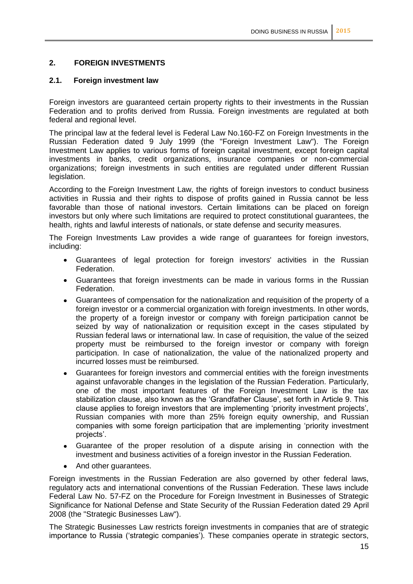#### **2. FOREIGN INVESTMENTS**

#### **2.1. Foreign investment law**

Foreign investors are guaranteed certain property rights to their investments in the Russian Federation and to profits derived from Russia. Foreign investments are regulated at both federal and regional level.

The principal law at the federal level is Federal Law No.160-FZ on Foreign Investments in the Russian Federation dated 9 July 1999 (the "Foreign Investment Law"). The Foreign Investment Law applies to various forms of foreign capital investment, except foreign capital investments in banks, credit organizations, insurance companies or non-commercial organizations; foreign investments in such entities are regulated under different Russian legislation.

According to the Foreign Investment Law, the rights of foreign investors to conduct business activities in Russia and their rights to dispose of profits gained in Russia cannot be less favorable than those of national investors. Certain limitations can be placed on foreign investors but only where such limitations are required to protect constitutional guarantees, the health, rights and lawful interests of nationals, or state defense and security measures.

The Foreign Investments Law provides a wide range of guarantees for foreign investors, including:

- Guarantees of legal protection for foreign investors' activities in the Russian Federation.
- Guarantees that foreign investments can be made in various forms in the Russian Federation.
- Guarantees of compensation for the nationalization and requisition of the property of a  $\bullet$ foreign investor or a commercial organization with foreign investments. In other words, the property of a foreign investor or company with foreign participation cannot be seized by way of nationalization or requisition except in the cases stipulated by Russian federal laws or international law. In case of requisition, the value of the seized property must be reimbursed to the foreign investor or company with foreign participation. In case of nationalization, the value of the nationalized property and incurred losses must be reimbursed.
- Guarantees for foreign investors and commercial entities with the foreign investments  $\bullet$ against unfavorable changes in the legislation of the Russian Federation. Particularly, one of the most important features of the Foreign Investment Law is the tax stabilization clause, also known as the 'Grandfather Clause', set forth in Article 9. This clause applies to foreign investors that are implementing 'priority investment projects', Russian companies with more than 25% foreign equity ownership, and Russian companies with some foreign participation that are implementing 'priority investment projects'.
- Guarantee of the proper resolution of a dispute arising in connection with the investment and business activities of a foreign investor in the Russian Federation.
- And other guarantees.

Foreign investments in the Russian Federation are also governed by other federal laws, regulatory acts and international conventions of the Russian Federation. These laws include Federal Law No. 57-FZ on the Procedure for Foreign Investment in Businesses of Strategic Significance for National Defense and State Security of the Russian Federation dated 29 April 2008 (the "Strategic Businesses Law").

The Strategic Businesses Law restricts foreign investments in companies that are of strategic importance to Russia ('strategic companies')*.* These companies operate in strategic sectors,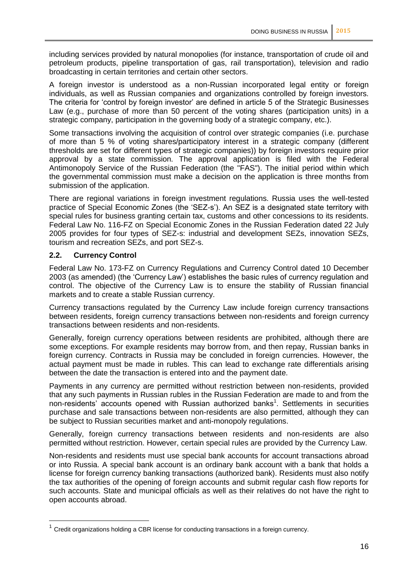including services provided by natural monopolies (for instance, transportation of crude oil and petroleum products, pipeline transportation of gas, rail transportation), television and radio broadcasting in certain territories and certain other sectors.

A foreign investor is understood as a non-Russian incorporated legal entity or foreign individuals, as well as Russian companies and organizations controlled by foreign investors. The criteria for 'control by foreign investor' are defined in article 5 of the Strategic Businesses Law (e.g., purchase of more than 50 percent of the voting shares (participation units) in a strategic company, participation in the governing body of a strategic company, etc.).

Some transactions involving the acquisition of control over strategic companies (i.e. purchase of more than 5 % of voting shares/participatory interest in a strategic company (different thresholds are set for different types of strategic companies)) by foreign investors require prior approval by a state commission. The approval application is filed with the Federal Antimonopoly Service of the Russian Federation (the "FAS"). The initial period within which the governmental commission must make a decision on the application is three months from submission of the application.

There are regional variations in foreign investment regulations. Russia uses the well-tested practice of Special Economic Zones (the 'SEZ-s'). An SEZ is a designated state territory with special rules for business granting certain tax, customs and other concessions to its residents. Federal Law No. 116-FZ on Special Economic Zones in the Russian Federation dated 22 July 2005 provides for four types of SEZ-s: industrial and development SEZs, innovation SEZs, tourism and recreation SEZs, and port SEZ-s.

#### **2.2. Currency Control**

Federal Law No. 173-FZ on Currency Regulations and Currency Control dated 10 December 2003 (as amended) (the 'Currency Law') establishes the basic rules of currency regulation and control. The objective of the Currency Law is to ensure the stability of Russian financial markets and to create a stable Russian currency.

Currency transactions regulated by the Currency Law include foreign currency transactions between residents, foreign currency transactions between non-residents and foreign currency transactions between residents and non-residents.

Generally, foreign currency operations between residents are prohibited, although there are some exceptions. For example residents may borrow from, and then repay, Russian banks in foreign currency. Contracts in Russia may be concluded in foreign currencies. However, the actual payment must be made in rubles. This can lead to exchange rate differentials arising between the date the transaction is entered into and the payment date.

Payments in any currency are permitted without restriction between non-residents, provided that any such payments in Russian rubles in the Russian Federation are made to and from the non-residents' accounts opened with Russian authorized banks<sup>1</sup>. Settlements in securities purchase and sale transactions between non-residents are also permitted, although they can be subject to Russian securities market and anti-monopoly regulations.

Generally, foreign currency transactions between residents and non-residents are also permitted without restriction. However, certain special rules are provided by the Currency Law.

Non-residents and residents must use special bank accounts for account transactions abroad or into Russia. A special bank account is an ordinary bank account with a bank that holds a license for foreign currency banking transactions (authorized bank). Residents must also notify the tax authorities of the opening of foreign accounts and submit regular cash flow reports for such accounts. State and municipal officials as well as their relatives do not have the right to open accounts abroad.

 $1$  Credit organizations holding a CBR license for conducting transactions in a foreign currency.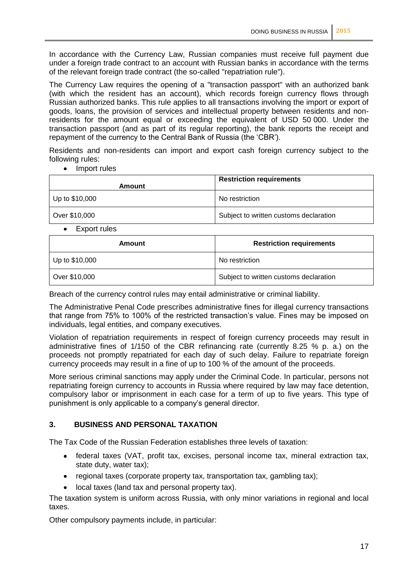In accordance with the Currency Law, Russian companies must receive full payment due under a foreign trade contract to an account with Russian banks in accordance with the terms of the relevant foreign trade contract (the so-called "repatriation rule").

The Currency Law requires the opening of a "transaction passport" with an authorized bank (with which the resident has an account), which records foreign currency flows through Russian authorized banks. This rule applies to all transactions involving the import or export of goods, loans, the provision of services and intellectual property between residents and nonresidents for the amount equal or exceeding the equivalent of USD 50 000. Under the transaction passport (and as part of its regular reporting), the bank reports the receipt and repayment of the currency to the Central Bank of Russia (the 'CBR').

Residents and non-residents can import and export cash foreign currency subject to the following rules:

• Import rules

| Amount                   | <b>Restriction requirements</b>        |
|--------------------------|----------------------------------------|
| $ $ Up to \$10,000       | No restriction                         |
| Over \$10,000            | Subject to written customs declaration |
| $\overline{\phantom{0}}$ |                                        |

Export rules  $\bullet$ 

| Amount             | <b>Restriction requirements</b>        |
|--------------------|----------------------------------------|
| $ $ Up to \$10,000 | No restriction                         |
| Over \$10,000      | Subject to written customs declaration |

Breach of the currency control rules may entail administrative or criminal liability.

The Administrative Penal Code prescribes administrative fines for illegal currency transactions that range from 75% to 100% of the restricted transaction's value. Fines may be imposed on individuals, legal entities, and company executives.

Violation of repatriation requirements in respect of foreign currency proceeds may result in administrative fines of 1/150 of the CBR refinancing rate (currently 8.25 % p. a.) on the proceeds not promptly repatriated for each day of such delay. Failure to repatriate foreign currency proceeds may result in a fine of up to 100 % of the amount of the proceeds.

More serious criminal sanctions may apply under the Criminal Code. In particular, persons not repatriating foreign currency to accounts in Russia where required by law may face detention, compulsory labor or imprisonment in each case for a term of up to five years. This type of punishment is only applicable to a company's general director.

#### **3. BUSINESS AND PERSONAL TAXATION**

The Tax Code of the Russian Federation establishes three levels of taxation:

- federal taxes (VAT, profit tax, excises, personal income tax, mineral extraction tax,  $\bullet$ state duty, water tax);
- regional taxes (corporate property tax, transportation tax, gambling tax);
- $\bullet$ local taxes (land tax and personal property tax).

The taxation system is uniform across Russia, with only minor variations in regional and local taxes.

Other compulsory payments include, in particular: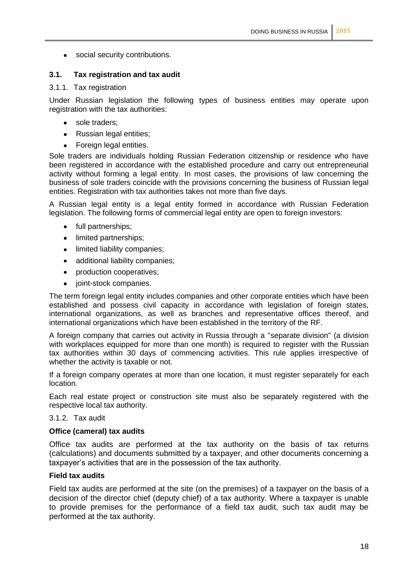social security contributions.

#### **3.1. Tax registration and tax audit**

#### 3.1.1. Tax registration

Under Russian legislation the following types of business entities may operate upon registration with the tax authorities:

- sole traders;
- Russian legal entities;
- Foreign legal entities.  $\bullet$

Sole traders are individuals holding Russian Federation citizenship or residence who have been registered in accordance with the established procedure and carry out entrepreneurial activity without forming a legal entity. In most cases, the provisions of law concerning the business of sole traders coincide with the provisions concerning the business of Russian legal entities. Registration with tax authorities takes not more than five days.

A Russian legal entity is a legal entity formed in accordance with Russian Federation legislation. The following forms of commercial legal entity are open to foreign investors:

- full partnerships;
- limited partnerships;  $\bullet$
- limited liability companies;
- $\bullet$ additional liability companies;
- production cooperatives;
- $\bullet$ joint-stock companies.

The term foreign legal entity includes companies and other corporate entities which have been established and possess civil capacity in accordance with legislation of foreign states, international organizations, as well as branches and representative offices thereof, and international organizations which have been established in the territory of the RF.

A foreign company that carries out activity in Russia through a "separate division" (a division with workplaces equipped for more than one month) is required to register with the Russian tax authorities within 30 days of commencing activities. This rule applies irrespective of whether the activity is taxable or not.

If a foreign company operates at more than one location, it must register separately for each location.

Each real estate project or construction site must also be separately registered with the respective local tax authority.

#### 3.1.2. Tax audit

#### **Office (cameral) tax audits**

Office tax audits are performed at the tax authority on the basis of tax returns (calculations) and documents submitted by a taxpayer, and other documents concerning a taxpayer's activities that are in the possession of the tax authority.

#### **Field tax audits**

Field tax audits are performed at the site (on the premises) of a taxpayer on the basis of a decision of the director chief (deputy chief) of a tax authority. Where a taxpayer is unable to provide premises for the performance of a field tax audit, such tax audit may be performed at the tax authority.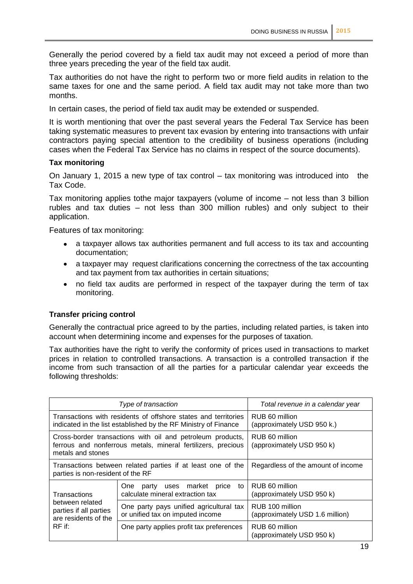Generally the period covered by a field tax audit may not exceed a period of more than three years preceding the year of the field tax audit.

Tax authorities do not have the right to perform two or more field audits in relation to the same taxes for one and the same period. A field tax audit may not take more than two months.

In certain cases, the period of field tax audit may be extended or suspended.

It is worth mentioning that over the past several years the Federal Tax Service has been taking systematic measures to prevent tax evasion by entering into transactions with unfair contractors paying special attention to the credibility of business operations (including cases when the Federal Tax Service has no claims in respect of the source documents).

#### **Tax monitoring**

On January 1, 2015 a new type of tax control – tax monitoring was introduced into the Tax Code.

Tax monitoring applies tothe major taxpayers (volume of income – not less than 3 billion rubles and tax duties – not less than 300 million rubles) and only subject to their application.

Features of tax monitoring:

- a taxpayer allows tax authorities permanent and full access to its tax and accounting documentation;
- a taxpayer may request clarifications concerning the correctness of the tax accounting  $\bullet$ and tax payment from tax authorities in certain situations;
- $\bullet$ no field tax audits are performed in respect of the taxpayer during the term of tax monitoring.

#### **Transfer pricing control**

Generally the contractual price agreed to by the parties, including related parties, is taken into account when determining income and expenses for the purposes of taxation.

Tax authorities have the right to verify the conformity of prices used in transactions to market prices in relation to controlled transactions. A transaction is a controlled transaction if the income from such transaction of all the parties for a particular calendar year exceeds the following thresholds:

| Type of transaction                                                                                                                             |                                                                             | Total revenue in a calendar year                   |
|-------------------------------------------------------------------------------------------------------------------------------------------------|-----------------------------------------------------------------------------|----------------------------------------------------|
| Transactions with residents of offshore states and territories<br>indicated in the list established by the RF Ministry of Finance               |                                                                             | RUB 60 million<br>(approximately USD 950 k.)       |
| Cross-border transactions with oil and petroleum products,<br>ferrous and nonferrous metals, mineral fertilizers, precious<br>metals and stones |                                                                             | RUB 60 million<br>(approximately USD 950 k)        |
| Transactions between related parties if at least one of the<br>parties is non-resident of the RF                                                |                                                                             | Regardless of the amount of income                 |
| Transactions<br>between related<br>parties if all parties<br>are residents of the<br>$RF$ if:                                                   | party uses market price<br>to<br>One<br>calculate mineral extraction tax    | RUB 60 million<br>(approximately USD 950 k)        |
|                                                                                                                                                 | One party pays unified agricultural tax<br>or unified tax on imputed income | RUB 100 million<br>(approximately USD 1.6 million) |
|                                                                                                                                                 | One party applies profit tax preferences                                    | RUB 60 million<br>(approximately USD 950 k)        |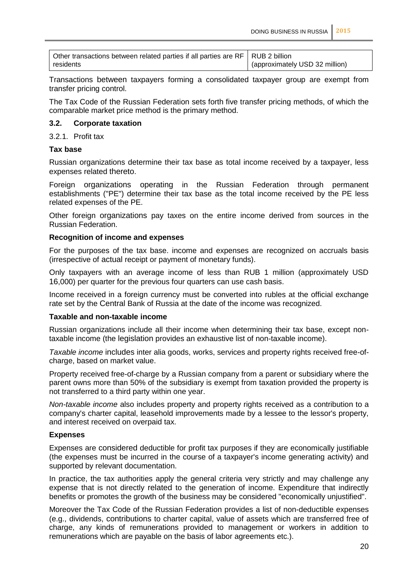| Other transactions between related parties if all parties are RF   RUB 2 billion |                                |
|----------------------------------------------------------------------------------|--------------------------------|
| residents                                                                        | (approximately USD 32 million) |

Transactions between taxpayers forming a consolidated taxpayer group are exempt from transfer pricing control.

The Tax Code of the Russian Federation sets forth five transfer pricing methods, of which the comparable market price method is the primary method.

#### **3.2. Corporate taxation**

3.2.1. Profit tax

#### **Tax base**

Russian organizations determine their tax base as total income received by a taxpayer, less expenses related thereto.

Foreign organizations operating in the Russian Federation through permanent establishments ("PE") determine their tax base as the total income received by the PE less related expenses of the PE.

Other foreign organizations pay taxes on the entire income derived from sources in the Russian Federation.

#### **Recognition of income and expenses**

For the purposes of the tax base. income and expenses are recognized on accruals basis (irrespective of actual receipt or payment of monetary funds).

Only taxpayers with an average income of less than RUB 1 million (approximately USD 16,000) per quarter for the previous four quarters can use cash basis.

Income received in a foreign currency must be converted into rubles at the official exchange rate set by the Central Bank of Russia at the date of the income was recognized.

#### **Taxable and non-taxable income**

Russian organizations include all their income when determining their tax base, except nontaxable income (the legislation provides an exhaustive list of non-taxable income).

*Taxable income* includes inter alia goods, works, services and property rights received free-ofcharge, based on market value.

Property received free-of-charge by a Russian company from a parent or subsidiary where the parent owns more than 50% of the subsidiary is exempt from taxation provided the property is not transferred to a third party within one year.

*Non-taxable income* also includes property and property rights received as a contribution to a company's charter capital, leasehold improvements made by a lessee to the lessor's property, and interest received on overpaid tax.

#### **Expenses**

Expenses are considered deductible for profit tax purposes if they are economically justifiable (the expenses must be incurred in the course of a taxpayer's income generating activity) and supported by relevant documentation.

In practice, the tax authorities apply the general criteria very strictly and may challenge any expense that is not directly related to the generation of income. Expenditure that indirectly benefits or promotes the growth of the business may be considered "economically unjustified".

Moreover the Tax Code of the Russian Federation provides a list of non-deductible expenses (e.g., dividends, contributions to charter capital, value of assets which are transferred free of charge, any kinds of remunerations provided to management or workers in addition to remunerations which are payable on the basis of labor agreements etc.).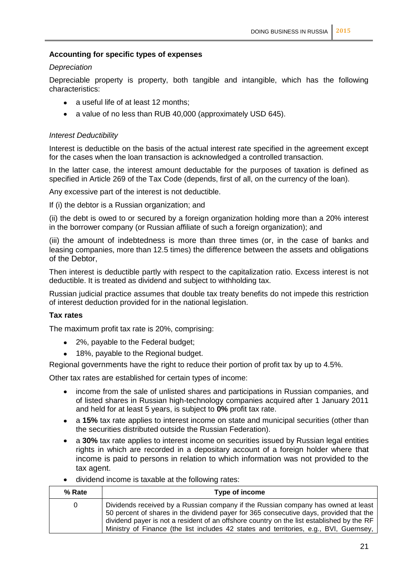#### **Accounting for specific types of expenses**

#### *Depreciation*

Depreciable property is property, both tangible and intangible, which has the following characteristics:

- a useful life of at least 12 months;
- a value of no less than RUB 40,000 (approximately USD 645).

#### *Interest Deductibility*

Interest is deductible on the basis of the actual interest rate specified in the agreement except for the cases when the loan transaction is acknowledged a controlled transaction.

In the latter case, the interest amount deductable for the purposes of taxation is defined as specified in Article 269 of the Tax Code (depends, first of all, on the currency of the loan).

Any excessive part of the interest is not deductible.

If (i) the debtor is a Russian organization; and

(ii) the debt is owed to or secured by a foreign organization holding more than a 20% interest in the borrower company (or Russian affiliate of such a foreign organization); and

(iii) the amount of indebtedness is more than three times (or, in the case of banks and leasing companies, more than 12.5 times) the difference between the assets and obligations of the Debtor,

Then interest is deductible partly with respect to the capitalization ratio. Excess interest is not deductible. It is treated as dividend and subject to withholding tax.

Russian judicial practice assumes that double tax treaty benefits do not impede this restriction of interest deduction provided for in the national legislation.

#### **Tax rates**

The maximum profit tax rate is 20%, comprising:

- 2%, payable to the Federal budget;
- 18%, payable to the Regional budget.

Regional governments have the right to reduce their portion of profit tax by up to 4.5%.

Other tax rates are established for certain types of income:

- income from the sale of unlisted shares and participations in Russian companies, and  $\bullet$ of listed shares in Russian high-technology companies acquired after 1 January 2011 and held for at least 5 years, is subject to **0%** profit tax rate.
- a **15%** tax rate applies to interest income on state and municipal securities (other than  $\bullet$ the securities distributed outside the Russian Federation).
- a **30%** tax rate applies to interest income on securities issued by Russian legal entities  $\bullet$ rights in which are recorded in a depositary account of a foreign holder where that income is paid to persons in relation to which information was not provided to the tax agent.
- dividend income is taxable at the following rates:

| % Rate | Type of income                                                                                                                                                                                                                                                                                                                                                     |
|--------|--------------------------------------------------------------------------------------------------------------------------------------------------------------------------------------------------------------------------------------------------------------------------------------------------------------------------------------------------------------------|
| 0      | Dividends received by a Russian company if the Russian company has owned at least<br>50 percent of shares in the dividend payer for 365 consecutive days, provided that the<br>dividend payer is not a resident of an offshore country on the list established by the RF<br>Ministry of Finance (the list includes 42 states and territories, e.g., BVI, Guernsey, |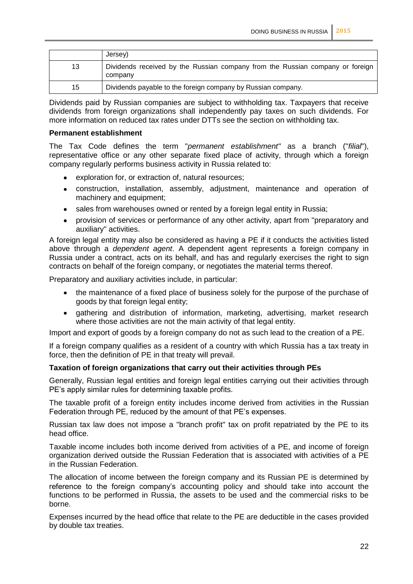|    | Jersey)                                                                                  |
|----|------------------------------------------------------------------------------------------|
| 13 | Dividends received by the Russian company from the Russian company or foreign<br>company |
| 15 | Dividends payable to the foreign company by Russian company.                             |

Dividends paid by Russian companies are subject to withholding tax. Taxpayers that receive dividends from foreign organizations shall independently pay taxes on such dividends. For more information on reduced tax rates under DTTs see the section on withholding tax.

#### **Permanent establishment**

The Tax Code defines the term "*permanent establishment"* as a branch ("*filial*"), representative office or any other separate fixed place of activity, through which a foreign company regularly performs business activity in Russia related to:

- exploration for, or extraction of, natural resources;  $\bullet$
- construction, installation, assembly, adjustment, maintenance and operation of  $\bullet$ machinery and equipment;
- sales from warehouses owned or rented by a foreign legal entity in Russia;
- provision of services or performance of any other activity, apart from "preparatory and  $\bullet$ auxiliary" activities.

A foreign legal entity may also be considered as having а PE if it conducts the activities listed above through a *dependent agent*. A dependent agent represents a foreign company in Russia under a contract, acts on its behalf, and has and regularly exercises the right to sign contracts on behalf of the foreign company, or negotiates the material terms thereof.

Preparatory and auxiliary activities include, in particular:

- the maintenance of a fixed place of business solely for the purpose of the purchase of  $\bullet$ goods by that foreign legal entity;
- gathering and distribution of information, marketing, advertising, market research  $\bullet$ where those activities are not the main activity of that legal entity.

Import and export of goods by a foreign company do not as such lead to the creation of a PE.

If a foreign company qualifies as a resident of a country with which Russia has a tax treaty in force, then the definition of PE in that treaty will prevail.

#### **Taxation of foreign organizations that carry out their activities through PEs**

Generally, Russian legal entities and foreign legal entities carrying out their activities through PE's apply similar rules for determining taxable profits.

The taxable profit of a foreign entity includes income derived from activities in the Russian Federation through PE, reduced by the amount of that PE's expenses.

Russian tax law does not impose a "branch profit" tax on profit repatriated by the PE to its head office.

Taxable income includes both income derived from activities of a PE, and income of foreign organization derived outside the Russian Federation that is associated with activities of a PE in the Russian Federation.

The allocation of income between the foreign company and its Russian PE is determined by reference to the foreign company's accounting policy and should take into account the functions to be performed in Russia, the assets to be used and the commercial risks to be borne.

Expenses incurred by the head office that relate to the PE are deductible in the cases provided by double tax treaties.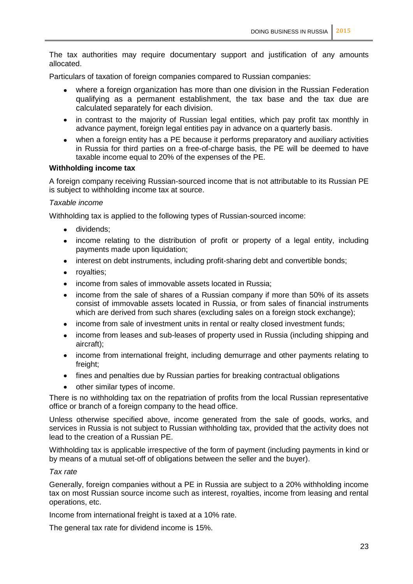The tax authorities may require documentary support and justification of any amounts allocated.

Particulars of taxation of foreign companies compared to Russian companies:

- where a foreign organization has more than one division in the Russian Federation qualifying as a permanent establishment, the tax base and the tax due are calculated separately for each division.
- in contrast to the majority of Russian legal entities, which pay profit tax monthly in  $\bullet$ advance payment, foreign legal entities pay in advance on a quarterly basis.
- when a foreign entity has a PE because it performs preparatory and auxiliary activities  $\bullet$ in Russia for third parties on a free-of-charge basis, the PE will be deemed to have taxable income equal to 20% of the expenses of the PE.

#### **Withholding income tax**

A foreign company receiving Russian-sourced income that is not attributable to its Russian PE is subject to withholding income tax at source.

#### *Taxable income*

Withholding tax is applied to the following types of Russian-sourced income:

- dividends;
- income relating to the distribution of profit or property of a legal entity, including payments made upon liquidation;
- interest on debt instruments, including profit-sharing debt and convertible bonds;  $\bullet$
- royalties;
- income from sales of immovable assets located in Russia;  $\bullet$
- income from the sale of shares of a Russian company if more than 50% of its assets  $\bullet$ consist of immovable assets located in Russia, or from sales of financial instruments which are derived from such shares (excluding sales on a foreign stock exchange);
- income from sale of investment units in rental or realty closed investment funds;  $\bullet$
- income from leases and sub-leases of property used in Russia (including shipping and aircraft);
- income from international freight, including demurrage and other payments relating to freight:
- fines and penalties due by Russian parties for breaking contractual obligations  $\bullet$
- other similar types of income.

There is no withholding tax on the repatriation of profits from the local Russian representative office or branch of a foreign company to the head office.

Unless otherwise specified above, income generated from the sale of goods, works, and services in Russia is not subject to Russian withholding tax, provided that the activity does not lead to the creation of a Russian PE.

Withholding tax is applicable irrespective of the form of payment (including payments in kind or by means of a mutual set-off of obligations between the seller and the buyer).

#### *Tax rate*

Generally, foreign companies without a PE in Russia are subject to a 20% withholding income tax on most Russian source income such as interest, royalties, income from leasing and rental operations, etc.

Income from international freight is taxed at a 10% rate.

The general tax rate for dividend income is 15%.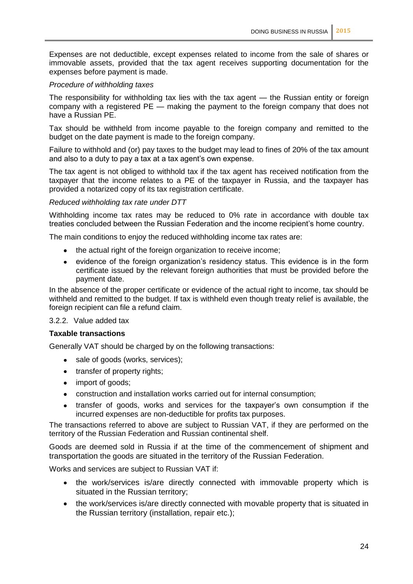Expenses are not deductible, except expenses related to income from the sale of shares or immovable assets, provided that the tax agent receives supporting documentation for the expenses before payment is made.

#### *Procedure of withholding taxes*

The responsibility for withholding tax lies with the tax agent — the Russian entity or foreign company with a registered PE — making the payment to the foreign company that does not have a Russian PE.

Tax should be withheld from income payable to the foreign company and remitted to the budget on the date payment is made to the foreign company.

Failure to withhold and (or) pay taxes to the budget may lead to fines of 20% of the tax amount and also to a duty to pay a tax at a tax agent's own expense.

The tax agent is not obliged to withhold tax if the tax agent has received notification from the taxpayer that the income relates to a PE of the taxpayer in Russia, and the taxpayer has provided a notarized copy of its tax registration certificate.

#### *Reduced withholding tax rate under DTT*

Withholding income tax rates may be reduced to 0% rate in accordance with double tax treaties concluded between the Russian Federation and the income recipient's home country.

The main conditions to enjoy the reduced withholding income tax rates are:

- the actual right of the foreign organization to receive income:
- evidence of the foreign organization's residency status. This evidence is in the form  $\bullet$ certificate issued by the relevant foreign authorities that must be provided before the payment date.

In the absence of the proper certificate or evidence of the actual right to income, tax should be withheld and remitted to the budget. If tax is withheld even though treaty relief is available, the foreign recipient can file a refund claim.

#### 3.2.2. Value added tax

#### **Taxable transactions**

Generally VAT should be charged by on the following transactions:

- sale of goods (works, services);
- transfer of property rights;
- import of goods;
- construction and installation works carried out for internal consumption;
- transfer of goods, works and services for the taxpayer's own consumption if the  $\bullet$ incurred expenses are non-deductible for profits tax purposes.

The transactions referred to above are subject to Russian VAT, if they are performed on the territory of the Russian Federation and Russian continental shelf.

Goods are deemed sold in Russia if at the time of the commencement of shipment and transportation the goods are situated in the territory of the Russian Federation.

Works and services are subject to Russian VAT if:

- the work/services is/are directly connected with immovable property which is  $\bullet$ situated in the Russian territory;
- the work/services is/are directly connected with movable property that is situated in the Russian territory (installation, repair etc.);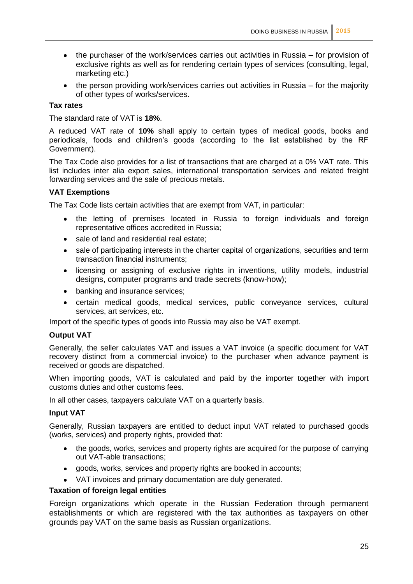- $\bullet$ the purchaser of the work/services carries out activities in Russia – for provision of exclusive rights as well as for rendering certain types of services (consulting, legal, marketing etc.)
- $\bullet$  the person providing work/services carries out activities in Russia for the majority of other types of works/services.

#### **Tax rates**

The standard rate of VAT is **18%**.

A reduced VAT rate of **10%** shall apply to certain types of medical goods, books and periodicals, foods and children's goods (according to the list established by the RF Government).

The Tax Code also provides for a list of transactions that are charged at a 0% VAT rate. This list includes inter alia export sales, international transportation services and related freight forwarding services and the sale of precious metals.

#### **VAT Exemptions**

The Tax Code lists certain activities that are exempt from VAT, in particular:

- $\bullet$ the letting of premises located in Russia to foreign individuals and foreign representative offices accredited in Russia;
- sale of land and residential real estate;  $\bullet$
- sale of participating interests in the charter capital of organizations, securities and term  $\bullet$ transaction financial instruments;
- licensing or assigning of exclusive rights in inventions, utility models, industrial  $\bullet$ designs, computer programs and trade secrets (know-how);
- banking and insurance services;
- certain medical goods, medical services, public conveyance services, cultural services, art services, etc.

Import of the specific types of goods into Russia may also be VAT exempt.

#### **Output VAT**

Generally, the seller calculates VAT and issues a VAT invoice (a specific document for VAT recovery distinct from a commercial invoice) to the purchaser when advance payment is received or goods are dispatched.

When importing goods, VAT is calculated and paid by the importer together with import customs duties and other customs fees.

In all other cases, taxpayers calculate VAT on a quarterly basis.

#### **Input VAT**

Generally, Russian taxpayers are entitled to deduct input VAT related to purchased goods (works, services) and property rights, provided that:

- the goods, works, services and property rights are acquired for the purpose of carrying  $\bullet$ out VAT-able transactions;
- goods, works, services and property rights are booked in accounts;
- VAT invoices and primary documentation are duly generated.

#### **Taxation of foreign legal entities**

Foreign organizations which operate in the Russian Federation through permanent establishments or which are registered with the tax authorities as taxpayers on other grounds pay VAT on the same basis as Russian organizations.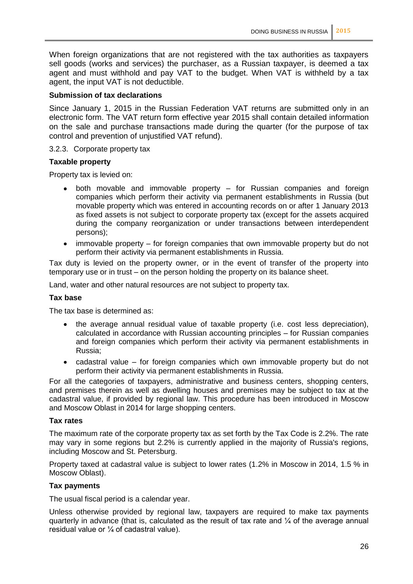When foreign organizations that are not registered with the tax authorities as taxpayers sell goods (works and services) the purchaser, as a Russian taxpayer, is deemed a tax agent and must withhold and pay VAT to the budget. When VAT is withheld by a tax agent, the input VAT is not deductible.

#### **Submission of tax declarations**

Since January 1, 2015 in the Russian Federation VAT returns are submitted only in an electronic form. The VAT return form effective year 2015 shall contain detailed information on the sale and purchase transactions made during the quarter (for the purpose of tax control and prevention of unjustified VAT refund).

#### 3.2.3. Corporate property tax

#### **Taxable property**

Property tax is levied on:

- both movable and immovable property for Russian companies and foreign  $\bullet$ companies which perform their activity via permanent establishments in Russia (but movable property which was entered in accounting records on or after 1 January 2013 as fixed assets is not subject to corporate property tax (except for the assets acquired during the company reorganization or under transactions between interdependent persons);
- immovable property for foreign companies that own immovable property but do not perform their activity via permanent establishments in Russia.

Tax duty is levied on the property owner, or in the event of transfer of the property into temporary use or in trust – on the person holding the property on its balance sheet.

Land, water and other natural resources are not subject to property tax.

#### **Tax base**

The tax base is determined as:

- the average annual residual value of taxable property (i.e. cost less depreciation),  $\bullet$ calculated in accordance with Russian accounting principles – for Russian companies and foreign companies which perform their activity via permanent establishments in Russia;
- cadastral value for foreign companies which own immovable property but do not  $\bullet$ perform their activity via permanent establishments in Russia.

For all the categories of taxpayers, administrative and business centers, shopping centers, and premises therein as well as dwelling houses and premises may be subject to tax at the cadastral value, if provided by regional law. This procedure has been introduced in Moscow and Moscow Oblast in 2014 for large shopping centers.

#### **Tax rates**

The maximum rate of the corporate property tax as set forth by the Tax Code is 2.2%. The rate may vary in some regions but 2.2% is currently applied in the majority of Russia's regions, including Moscow and St. Petersburg.

Property taxed at cadastral value is subject to lower rates (1.2% in Moscow in 2014, 1.5 % in Moscow Oblast).

#### **Tax payments**

The usual fiscal period is a calendar year.

Unless otherwise provided by regional law, taxpayers are required to make tax payments quarterly in advance (that is, calculated as the result of tax rate and ¼ of the average annual residual value or ¼ of cadastral value).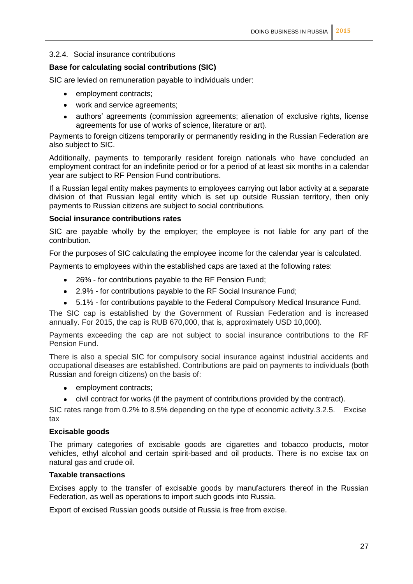#### 3.2.4. Social insurance contributions

#### **Base for calculating social contributions (SIC)**

SIC are levied on remuneration payable to individuals under:

- employment contracts;
- work and service agreements;
- authors' agreements (commission agreements; alienation of exclusive rights, license agreements for use of works of science, literature or art).

Payments to foreign citizens temporarily or permanently residing in the Russian Federation are also subject to SIC.

Additionally, payments to temporarily resident foreign nationals who have concluded an employment contract for an indefinite period or for a period of at least six months in a calendar year are subject to RF Pension Fund contributions.

If a Russian legal entity makes payments to employees carrying out labor activity at a separate division of that Russian legal entity which is set up outside Russian territory, then only payments to Russian citizens are subject to social contributions.

#### **Social insurance contributions rates**

SIC are payable wholly by the employer; the employee is not liable for any part of the contribution.

For the purposes of SIC calculating the employee income for the calendar year is calculated.

Payments to employees within the established caps are taxed at the following rates:

- $\bullet$ 26% - for contributions payable to the RF Pension Fund;
- 2.9% for contributions payable to the RF Social Insurance Fund;
- 5.1% for contributions payable to the Federal Compulsory Medical Insurance Fund.

The SIC cap is established by the Government of Russian Federation and is increased annually. For 2015, the cap is RUB 670,000, that is, approximately USD 10,000).

Payments exceeding the cap are not subject to social insurance contributions to the RF Pension Fund.

There is also a special SIC for compulsory social insurance against industrial accidents and occupational diseases are established. Contributions are paid on payments to individuals (both Russian and foreign citizens) on the basis of:

- employment contracts;
- civil contract for works (if the payment of contributions provided by the contract).

SIC rates range from 0.2% to 8.5% depending on the type of economic activity.3.2.5. Excise tax

#### **Excisable goods**

The primary categories of excisable goods are cigarettes and tobacco products, motor vehicles, ethyl alcohol and certain spirit-based and oil products. There is no excise tax on natural gas and crude oil.

#### **Taxable transactions**

Excises apply to the transfer of excisable goods by manufacturers thereof in the Russian Federation, as well as operations to import such goods into Russia.

Export of excised Russian goods outside of Russia is free from excise.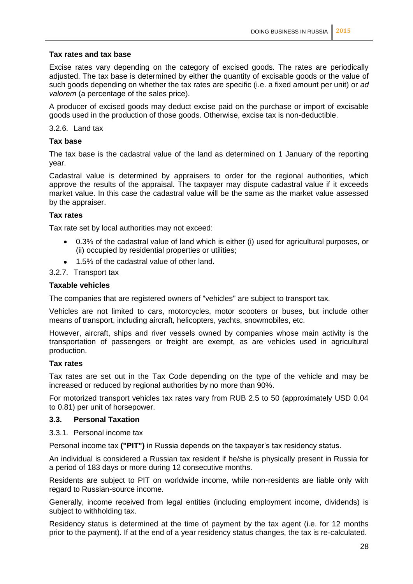#### **Tax rates and tax base**

Excise rates vary depending on the category of excised goods. The rates are periodically adjusted. The tax base is determined by either the quantity of excisable goods or the value of such goods depending on whether the tax rates are specific (i.e. a fixed amount per unit) or *ad valorem* (a percentage of the sales price).

A producer of excised goods may deduct excise paid on the purchase or import of excisable goods used in the production of those goods. Otherwise, excise tax is non-deductible.

3.2.6. Land tax

#### **Tax base**

The tax base is the cadastral value of the land as determined on 1 January of the reporting year.

Cadastral value is determined by appraisers to order for the regional authorities, which approve the results of the appraisal. The taxpayer may dispute cadastral value if it exceeds market value. In this case the cadastral value will be the same as the market value assessed by the appraiser.

#### **Tax rates**

Tax rate set by local authorities may not exceed:

- 0.3% of the cadastral value of land which is either (i) used for agricultural purposes, or (ii) occupied by residential properties or utilities;
- 1.5% of the cadastral value of other land.

#### 3.2.7. Transport tax

#### **Taxable vehicles**

The companies that are registered owners of "vehicles" are subject to transport tax.

Vehicles are not limited to cars, motorcycles, motor scooters or buses, but include other means of transport, including aircraft, helicopters, yachts, snowmobiles, etc.

However, aircraft, ships and river vessels owned by companies whose main activity is the transportation of passengers or freight are exempt, as are vehicles used in agricultural production.

#### **Tax rates**

Tax rates are set out in the Tax Code depending on the type of the vehicle and may be increased or reduced by regional authorities by no more than 90%.

For motorized transport vehicles tax rates vary from RUB 2.5 to 50 (approximately USD 0.04 to 0.81) per unit of horsepower.

#### **3.3. Personal Taxation**

#### 3.3.1. Personal income tax

Personal income tax **("PIT")** in Russia depends on the taxpayer's tax residency status.

An individual is considered a Russian tax resident if he/she is physically present in Russia for a period of 183 days or more during 12 consecutive months.

Residents are subject to PIT on worldwide income, while non-residents are liable only with regard to Russian-source income.

Generally, income received from legal entities (including employment income, dividends) is subject to withholding tax.

Residency status is determined at the time of payment by the tax agent (i.e. for 12 months prior to the payment). If at the end of a year residency status changes, the tax is re-calculated.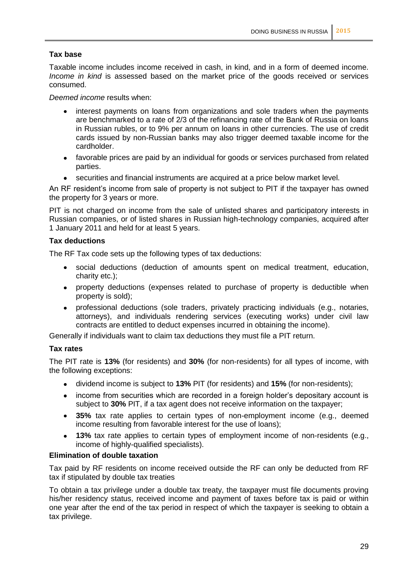#### **Tax base**

Taxable income includes income received in cash, in kind, and in a form of deemed income. *Income in kind* is assessed based on the market price of the goods received or services consumed.

*Deemed income* results when:

- interest payments on loans from organizations and sole traders when the payments are benchmarked to a rate of 2/3 of the refinancing rate of the Bank of Russia on loans in Russian rubles, or to 9% per annum on loans in other currencies. The use of credit cards issued by non-Russian banks may also trigger deemed taxable income for the cardholder.
- favorable prices are paid by an individual for goods or services purchased from related  $\bullet$ parties.
- securities and financial instruments are acquired at a price below market level.

An RF resident's income from sale of property is not subject to PIT if the taxpayer has owned the property for 3 years or more.

PIT is not charged on income from the sale of unlisted shares and participatory interests in Russian companies, or of listed shares in Russian high-technology companies, acquired after 1 January 2011 and held for at least 5 years.

#### **Tax deductions**

The RF Tax code sets up the following types of tax deductions:

- $\bullet$ social deductions (deduction of amounts spent on medical treatment, education, charity etc.);
- property deductions (expenses related to purchase of property is deductible when property is sold);
- professional deductions (sole traders, privately practicing individuals (e.g., notaries,  $\bullet$ attorneys), and individuals rendering services (executing works) under civil law contracts are entitled to deduct expenses incurred in obtaining the income).

Generally if individuals want to claim tax deductions they must file a PIT return.

#### **Tax rates**

The PIT rate is **13%** (for residents) and **30%** (for non-residents) for all types of income, with the following exceptions:

- dividend income is subject to **13%** PIT (for residents) and **15%** (for non-residents);
- income from securities which are recorded in a foreign holder's depositary account is  $\bullet$ subject to **30%** PIT, if a tax agent does not receive information on the taxpayer;
- **35%** tax rate applies to certain types of non-employment income (e.g., deemed  $\bullet$ income resulting from favorable interest for the use of loans);
- **13%** tax rate applies to certain types of employment income of non-residents (e.g.,  $\bullet$ income of highly-qualified specialists).

#### **Elimination of double taxation**

Tax paid by RF residents on income received outside the RF can only be deducted from RF tax if stipulated by double tax treaties

To obtain a tax privilege under a double tax treaty, the taxpayer must file documents proving his/her residency status, received income and payment of taxes before tax is paid or within one year after the end of the tax period in respect of which the taxpayer is seeking to obtain a tax privilege.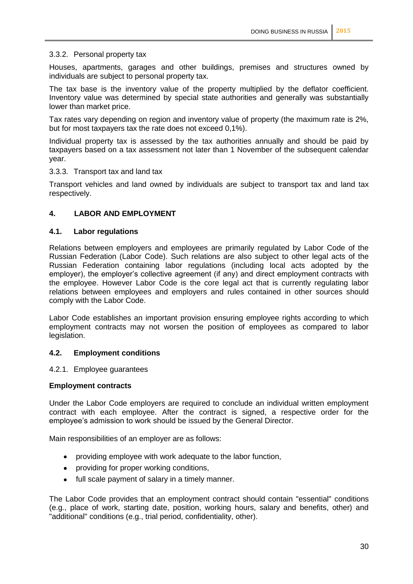#### 3.3.2. Personal property tax

Houses, apartments, garages and other buildings, premises and structures owned by individuals are subject to personal property tax.

The tax base is the inventory value of the property multiplied by the deflator coefficient. Inventory value was determined by special state authorities and generally was substantially lower than market price.

Tax rates vary depending on region and inventory value of property (the maximum rate is 2%, but for most taxpayers tax the rate does not exceed 0,1%).

Individual property tax is assessed by the tax authorities annually and should be paid by taxpayers based on a tax assessment not later than 1 November of the subsequent calendar year.

#### 3.3.3. Transport tax and land tax

Transport vehicles and land owned by individuals are subject to transport tax and land tax respectively.

#### **4. LABOR AND EMPLOYMENT**

#### **4.1. Labor regulations**

Relations between employers and employees are primarily regulated by Labor Code of the Russian Federation (Labor Code). Such relations are also subject to other legal acts of the Russian Federation containing labor regulations (including local acts adopted by the employer), the employer's collective agreement (if any) and direct employment contracts with the employee. However Labor Code is the core legal act that is currently regulating labor relations between employees and employers and rules contained in other sources should comply with the Labor Code.

Labor Code establishes an important provision ensuring employee rights according to which employment contracts may not worsen the position of employees as compared to labor legislation.

#### **4.2. Employment conditions**

4.2.1. Employee guarantees

#### **Employment contracts**

Under the Labor Code employers are required to conclude an individual written employment contract with each employee. After the contract is signed, a respective order for the employee's admission to work should be issued by the General Director.

Main responsibilities of an employer are as follows:

- providing employee with work adequate to the labor function,
- providing for proper working conditions,
- full scale payment of salary in a timely manner.  $\bullet$

The Labor Code provides that an employment contract should contain "essential" conditions (e.g., place of work, starting date, position, working hours, salary and benefits, other) and "additional" conditions (e.g., trial period, confidentiality, other).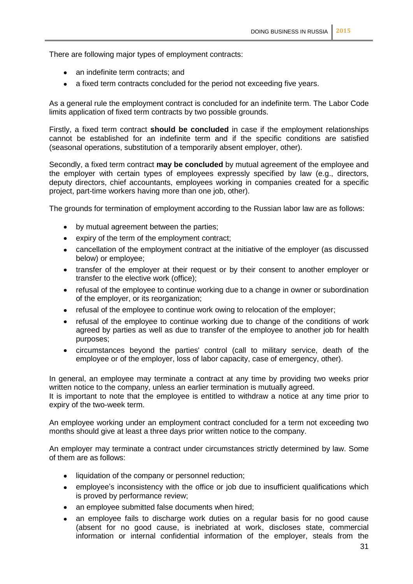There are following major types of employment contracts:

- an indefinite term contracts; and
- a fixed term contracts concluded for the period not exceeding five years.  $\bullet$

As a general rule the employment contract is concluded for an indefinite term. The Labor Code limits application of fixed term contracts by two possible grounds.

Firstly, a fixed term contract **should be concluded** in case if the employment relationships cannot be established for an indefinite term and if the specific conditions are satisfied (seasonal operations, substitution of a temporarily absent employer, other).

Secondly, a fixed term contract **may be concluded** by mutual agreement of the employee and the employer with certain types of employees expressly specified by law (e.g., directors, deputy directors, chief accountants, employees working in companies created for a specific project, part-time workers having more than one job, other).

The grounds for termination of employment according to the Russian labor law are as follows:

- by mutual agreement between the parties;
- $\bullet$ expiry of the term of the employment contract;
- cancellation of the employment contract at the initiative of the employer (as discussed below) or employee;
- transfer of the employer at their request or by their consent to another employer or  $\bullet$ transfer to the elective work (office);
- refusal of the employee to continue working due to a change in owner or subordination of the employer, or its reorganization;
- refusal of the employee to continue work owing to relocation of the employer;
- refusal of the employee to continue working due to change of the conditions of work agreed by parties as well as due to transfer of the employee to another job for health purposes;
- circumstances beyond the parties' control (call to military service, death of the employee or of the employer, loss of labor capacity, case of emergency, other).

In general, an employee may terminate a contract at any time by providing two weeks prior written notice to the company, unless an earlier termination is mutually agreed.

It is important to note that the employee is entitled to withdraw a notice at any time prior to expiry of the two-week term.

An employee working under an employment contract concluded for a term not exceeding two months should give at least a three days prior written notice to the company.

An employer may terminate a contract under circumstances strictly determined by law. Some of them are as follows:

- liquidation of the company or personnel reduction;  $\bullet$
- employee's inconsistency with the office or job due to insufficient qualifications which  $\bullet$ is proved by performance review;
- an employee submitted false documents when hired;  $\bullet$
- an employee fails to discharge work duties on a regular basis for no good cause  $\bullet$ (absent for no good cause, is inebriated at work, discloses state, commercial information or internal confidential information of the employer, steals from the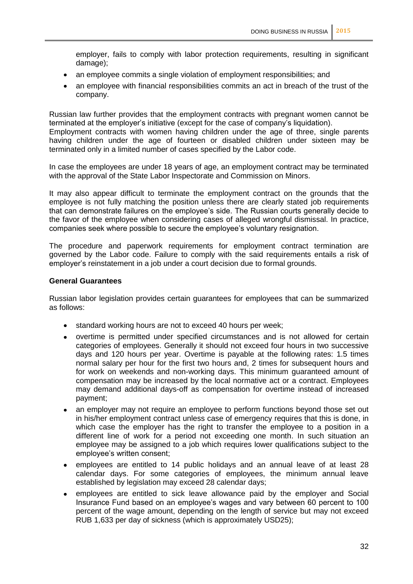employer, fails to comply with labor protection requirements, resulting in significant damage);

- an employee commits a single violation of employment responsibilities; and  $\bullet$
- an employee with financial responsibilities commits an act in breach of the trust of the company.

Russian law further provides that the employment contracts with pregnant women cannot be terminated at the employer's initiative (except for the case of company's liquidation). Employment contracts with women having children under the age of three, single parents having children under the age of fourteen or disabled children under sixteen may be terminated only in a limited number of cases specified by the Labor code.

In case the employees are under 18 years of age, an employment contract may be terminated with the approval of the State Labor Inspectorate and Commission on Minors.

It may also appear difficult to terminate the employment contract on the grounds that the employee is not fully matching the position unless there are clearly stated job requirements that can demonstrate failures on the employee's side. The Russian courts generally decide to the favor of the employee when considering cases of alleged wrongful dismissal. In practice, companies seek where possible to secure the employee's voluntary resignation.

The procedure and paperwork requirements for employment contract termination are governed by the Labor code. Failure to comply with the said requirements entails a risk of employer's reinstatement in a job under a court decision due to formal grounds.

#### **General Guarantees**

Russian labor legislation provides certain guarantees for employees that can be summarized as follows:

- standard working hours are not to exceed 40 hours per week;
- overtime is permitted under specified circumstances and is not allowed for certain categories of employees. Generally it should not exceed four hours in two successive days and 120 hours per year. Overtime is payable at the following rates: 1.5 times normal salary per hour for the first two hours and, 2 times for subsequent hours and for work on weekends and non-working days. This minimum guaranteed amount of compensation may be increased by the local normative act or a contract. Employees may demand additional days-off as compensation for overtime instead of increased payment;
- an employer may not require an employee to perform functions beyond those set out  $\bullet$ in his/her employment contract unless case of emergency requires that this is done, in which case the employer has the right to transfer the employee to a position in a different line of work for a period not exceeding one month. In such situation an employee may be assigned to a job which requires lower qualifications subject to the employee's written consent;
- employees are entitled to 14 public holidays and an annual leave of at least 28 calendar days. For some categories of employees, the minimum annual leave established by legislation may exceed 28 calendar days;
- employees are entitled to sick leave allowance paid by the employer and Social  $\bullet$ Insurance Fund based on an employee's wages and vary between 60 percent to 100 percent of the wage amount, depending on the length of service but may not exceed RUB 1,633 per day of sickness (which is approximately USD25);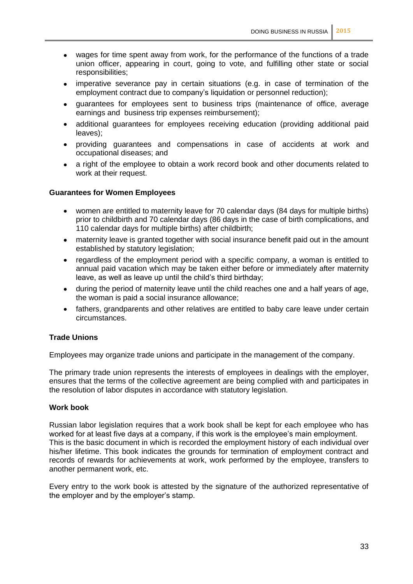- $\bullet$ wages for time spent away from work, for the performance of the functions of a trade union officer, appearing in court, going to vote, and fulfilling other state or social responsibilities;
- imperative severance pay in certain situations (e.g. in case of termination of the employment contract due to company's liquidation or personnel reduction);
- guarantees for employees sent to business trips (maintenance of office, average  $\bullet$ earnings and business trip expenses reimbursement);
- additional guarantees for employees receiving education (providing additional paid leaves);
- providing guarantees and compensations in case of accidents at work and  $\bullet$ occupational diseases; and
- a right of the employee to obtain a work record book and other documents related to  $\bullet$ work at their request.

#### **Guarantees for Women Employees**

- women are entitled to maternity leave for 70 calendar days (84 days for multiple births)  $\bullet$ prior to childbirth and 70 calendar days (86 days in the case of birth complications, and 110 calendar days for multiple births) after childbirth;
- maternity leave is granted together with social insurance benefit paid out in the amount established by statutory legislation;
- regardless of the employment period with a specific company, a woman is entitled to  $\bullet$ annual paid vacation which may be taken either before or immediately after maternity leave, as well as leave up until the child's third birthday;
- during the period of maternity leave until the child reaches one and a half years of age, the woman is paid a social insurance allowance;
- fathers, grandparents and other relatives are entitled to baby care leave under certain  $\bullet$ circumstances.

#### **Trade Unions**

Employees may organize trade unions and participate in the management of the company.

The primary trade union represents the interests of employees in dealings with the employer, ensures that the terms of the collective agreement are being complied with and participates in the resolution of labor disputes in accordance with statutory legislation.

#### **Work book**

Russian labor legislation requires that a work book shall be kept for each employee who has worked for at least five days at a company, if this work is the employee's main employment. This is the basic document in which is recorded the employment history of each individual over his/her lifetime. This book indicates the grounds for termination of employment contract and records of rewards for achievements at work, work performed by the employee, transfers to another permanent work, etc.

Every entry to the work book is attested by the signature of the authorized representative of the employer and by the employer's stamp.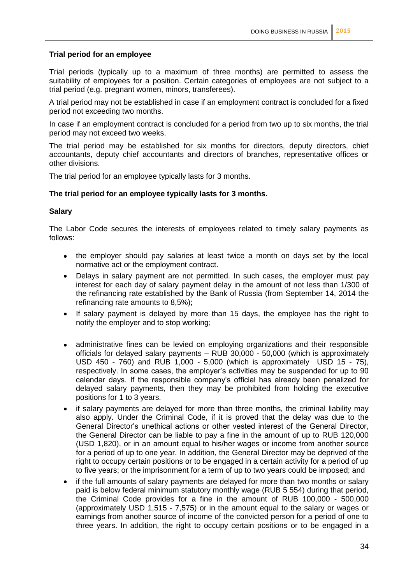#### **Trial period for an employee**

Trial periods (typically up to a maximum of three months) are permitted to assess the suitability of employees for a position. Certain categories of employees are not subject to a trial period (e.g. pregnant women, minors, transferees).

A trial period may not be established in case if an employment contract is concluded for a fixed period not exceeding two months.

In case if an employment contract is concluded for a period from two up to six months, the trial period may not exceed two weeks.

The trial period may be established for six months for directors, deputy directors, chief accountants, deputy chief accountants and directors of branches, representative offices or other divisions.

The trial period for an employee typically lasts for 3 months.

#### **The trial period for an employee typically lasts for 3 months.**

#### **Salary**

The Labor Code secures the interests of employees related to timely salary payments as follows:

- the employer should pay salaries at least twice a month on days set by the local normative act or the employment contract.
- $\bullet$ Delays in salary payment are not permitted. In such cases, the employer must pay interest for each day of salary payment delay in the amount of not less than 1/300 of the refinancing rate established by the Bank of Russia (from September 14, 2014 the refinancing rate amounts to 8,5%);
- $\bullet$ If salary payment is delayed by more than 15 days, the employee has the right to notify the employer and to stop working;
- $\bullet$ administrative fines can be levied on employing organizations and their responsible officials for delayed salary payments – RUB 30,000 - 50,000 (which is approximately USD 450 - 760) and RUB 1,000 - 5,000 (which is approximately USD 15 - 75), respectively. In some cases, the employer's activities may be suspended for up to 90 calendar days. If the responsible company's official has already been penalized for delayed salary payments, then they may be prohibited from holding the executive positions for 1 to 3 years.
- if salary payments are delayed for more than three months, the criminal liability may  $\bullet$ also apply. Under the Criminal Code, if it is proved that the delay was due to the General Director's unethical actions or other vested interest of the General Director, the General Director can be liable to pay a fine in the amount of up to RUB 120,000 (USD 1,820), or in an amount equal to his/her wages or income from another source for a period of up to one year. In addition, the General Director may be deprived of the right to occupy certain positions or to be engaged in a certain activity for a period of up to five years; or the imprisonment for a term of up to two years could be imposed; and
- if the full amounts of salary payments are delayed for more than two months or salary  $\bullet$ paid is below federal minimum statutory monthly wage (RUB 5 554) during that period, the Criminal Code provides for a fine in the amount of RUB 100,000 - 500,000 (approximately USD 1,515 - 7,575) or in the amount equal to the salary or wages or earnings from another source of income of the convicted person for a period of one to three years. In addition, the right to occupy certain positions or to be engaged in a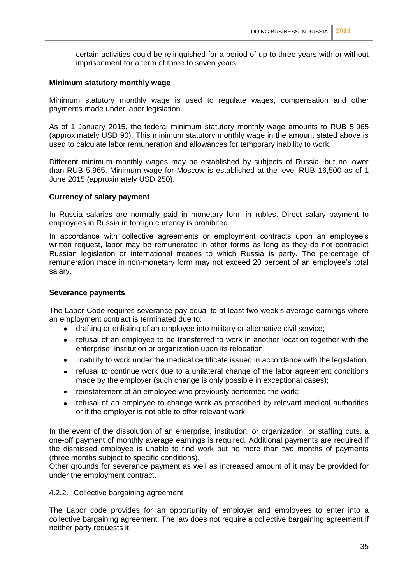certain activities could be relinquished for a period of up to three years with or without imprisonment for a term of three to seven years.

#### **Minimum statutory monthly wage**

Minimum statutory monthly wage is used to regulate wages, compensation and other payments made under labor legislation.

As of 1 January 2015, the federal minimum statutory monthly wage amounts to RUB 5,965 (approximately USD 90). This minimum statutory monthly wage in the amount stated above is used to calculate labor remuneration and allowances for temporary inability to work.

Different minimum monthly wages may be established by subjects of Russia, but no lower than RUB 5,965. Minimum wage for Moscow is established at the level RUB 16,500 as of 1 June 2015 (approximately USD 250).

#### **Currency of salary payment**

In Russia salaries are normally paid in monetary form in rubles. Direct salary payment to employees in Russia in foreign currency is prohibited.

In accordance with collective agreements or employment contracts upon an employee's written request, labor may be remunerated in other forms as long as they do not contradict Russian legislation or international treaties to which Russia is party. The percentage of remuneration made in non-monetary form may not exceed 20 percent of an employee's total salary.

#### **Severance payments**

The Labor Code requires severance pay equal to at least two week's average earnings where an employment contract is terminated due to:

- $\bullet$ drafting or enlisting of an employee into military or alternative civil service;
- $\bullet$ refusal of an employee to be transferred to work in another location together with the enterprise, institution or organization upon its relocation;
- inability to work under the medical certificate issued in accordance with the legislation;
- refusal to continue work due to a unilateral change of the labor agreement conditions  $\bullet$ made by the employer (such change is only possible in exceptional cases);
- reinstatement of an employee who previously performed the work;  $\bullet$
- $\bullet$ refusal of an employee to change work as prescribed by relevant medical authorities or if the employer is not able to offer relevant work.

In the event of the dissolution of an enterprise, institution, or organization, or staffing cuts, a one-off payment of monthly average earnings is required. Additional payments are required if the dismissed employee is unable to find work but no more than two months of payments (three months subject to specific conditions).

Other grounds for severance payment as well as increased amount of it may be provided for under the employment contract.

#### 4.2.2. Collective bargaining agreement

The Labor code provides for an opportunity of employer and employees to enter into a collective bargaining agreement. The law does not require a collective bargaining agreement if neither party requests it.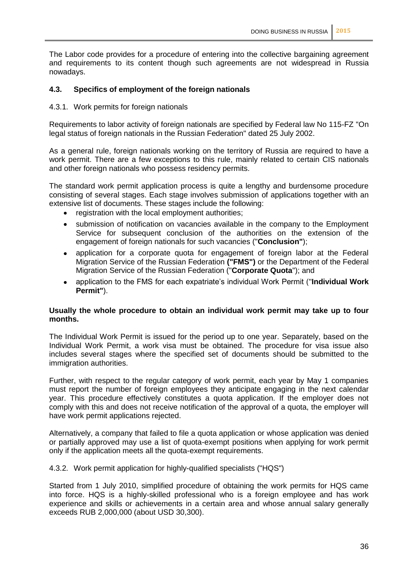The Labor code provides for a procedure of entering into the collective bargaining agreement and requirements to its content though such agreements are not widespread in Russia nowadays.

#### **4.3. Specifics of employment of the foreign nationals**

4.3.1. Work permits for foreign nationals

Requirements to labor activity of foreign nationals are specified by Federal law No 115-FZ "On legal status of foreign nationals in the Russian Federation" dated 25 July 2002.

As a general rule, foreign nationals working on the territory of Russia are required to have a work permit. There are a few exceptions to this rule, mainly related to certain CIS nationals and other foreign nationals who possess residency permits.

The standard work permit application process is quite a lengthy and burdensome procedure consisting of several stages. Each stage involves submission of applications together with an extensive list of documents. These stages include the following:

- registration with the local employment authorities;
- submission of notification on vacancies available in the company to the Employment  $\bullet$ Service for subsequent conclusion of the authorities on the extension of the engagement of foreign nationals for such vacancies ("**Conclusion"**);
- application for a corporate quota for engagement of foreign labor at the Federal  $\bullet$ Migration Service of the Russian Federation **("FMS")** or the Department of the Federal Migration Service of the Russian Federation ("**Corporate Quota**"); and
- application to the FMS for each expatriate's individual Work Permit ("**Individual Work**   $\bullet$ **Permit"**).

#### **Usually the whole procedure to obtain an individual work permit may take up to four months.**

The Individual Work Permit is issued for the period up to one year. Separately, based on the Individual Work Permit, a work visa must be obtained. The procedure for visa issue also includes several stages where the specified set of documents should be submitted to the immigration authorities.

Further, with respect to the regular category of work permit, each year by May 1 companies must report the number of foreign employees they anticipate engaging in the next calendar year. This procedure effectively constitutes a quota application. If the employer does not comply with this and does not receive notification of the approval of a quota, the employer will have work permit applications rejected.

Alternatively, a company that failed to file a quota application or whose application was denied or partially approved may use a list of quota-exempt positions when applying for work permit only if the application meets all the quota-exempt requirements.

4.3.2. Work permit application for highly-qualified specialists ("HQS")

Started from 1 July 2010, simplified procedure of obtaining the work permits for HQS came into force. HQS is a highly-skilled professional who is a foreign employee and has work experience and skills or achievements in a certain area and whose annual salary generally exceeds RUB 2,000,000 (about USD 30,300).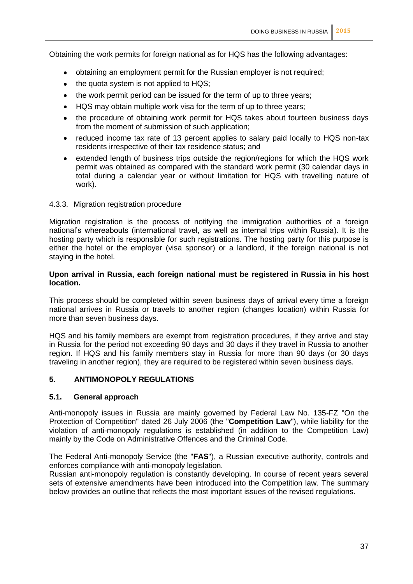Obtaining the work permits for foreign national as for HQS has the following advantages:

- obtaining an employment permit for the Russian employer is not required;
- the quota system is not applied to HQS;  $\bullet$
- the work permit period can be issued for the term of up to three years;
- HQS may obtain multiple work visa for the term of up to three years;
- the procedure of obtaining work permit for HQS takes about fourteen business days from the moment of submission of such application;
- reduced income tax rate of 13 percent applies to salary paid locally to HQS non-tax residents irrespective of their tax residence status; and
- extended length of business trips outside the region/regions for which the HQS work  $\bullet$ permit was obtained as compared with the standard work permit (30 calendar days in total during a calendar year or without limitation for HQS with travelling nature of work).

#### 4.3.3. Migration registration procedure

Migration registration is the process of notifying the immigration authorities of a foreign national's whereabouts (international travel, as well as internal trips within Russia). It is the hosting party which is responsible for such registrations. The hosting party for this purpose is either the hotel or the employer (visa sponsor) or a landlord, if the foreign national is not staying in the hotel.

#### **Upon arrival in Russia, each foreign national must be registered in Russia in his host location.**

This process should be completed within seven business days of arrival every time a foreign national arrives in Russia or travels to another region (changes location) within Russia for more than seven business days.

HQS and his family members are exempt from registration procedures, if they arrive and stay in Russia for the period not exceeding 90 days and 30 days if they travel in Russia to another region. If HQS and his family members stay in Russia for more than 90 days (or 30 days traveling in another region), they are required to be registered within seven business days.

#### **5. ANTIMONOPOLY REGULATIONS**

#### **5.1. General approach**

Anti-monopoly issues in Russia are mainly governed by Federal Law No. 135-FZ "On the Protection of Competition" dated 26 July 2006 (the "**Competition Law**"), while liability for the violation of anti-monopoly regulations is established (in addition to the Competition Law) mainly by the Code on Administrative Offences and the Criminal Code.

The Federal Anti-monopoly Service (the "**FAS**"), a Russian executive authority, controls and enforces compliance with anti-monopoly legislation.

Russian anti-monopoly regulation is constantly developing. In course of recent years several sets of extensive amendments have been introduced into the Competition law. The summary below provides an outline that reflects the most important issues of the revised regulations.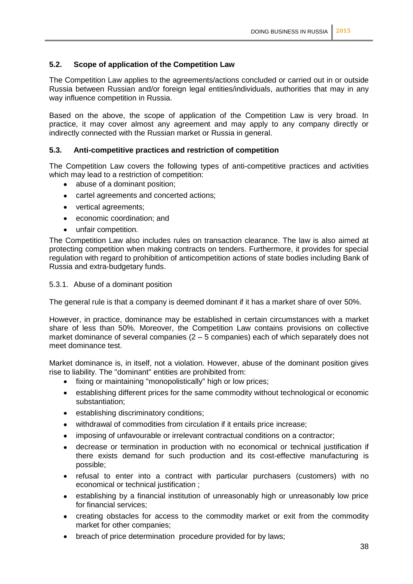#### **5.2. Scope of application of the Competition Law**

The Competition Law applies to the agreements/actions concluded or carried out in or outside Russia between Russian and/or foreign legal entities/individuals, authorities that may in any way influence competition in Russia.

Based on the above, the scope of application of the Competition Law is very broad. In practice, it may cover almost any agreement and may apply to any company directly or indirectly connected with the Russian market or Russia in general.

#### **5.3. Anti-competitive practices and restriction of competition**

The Competition Law covers the following types of anti-competitive practices and activities which may lead to a restriction of competition:

- $\bullet$ abuse of a dominant position;
- cartel agreements and concerted actions;  $\bullet$
- vertical agreements;
- economic coordination; and  $\bullet$
- unfair competition.

The Competition Law also includes rules on transaction clearance. The law is also aimed at protecting competition when making contracts on tenders. Furthermore, it provides for special regulation with regard to prohibition of anticompetition actions of state bodies including Bank of Russia and extra-budgetary funds.

#### 5.3.1. Abuse of a dominant position

The general rule is that a company is deemed dominant if it has a market share of over 50%.

However, in practice, dominance may be established in certain circumstances with a market share of less than 50%. Moreover, the Competition Law contains provisions on collective market dominance of several companies (2 – 5 companies) each of which separately does not meet dominance test.

Market dominance is, in itself, not a violation. However, abuse of the dominant position gives rise to liability. The "dominant" entities are prohibited from:

- fixing or maintaining "monopolistically" high or low prices;  $\bullet$
- establishing different prices for the same commodity without technological or economic  $\bullet$ substantiation;
- establishing discriminatory conditions;
- withdrawal of commodities from circulation if it entails price increase;
- imposing of unfavourable or irrelevant contractual conditions on a contractor;
- decrease or termination in production with no economical or technical justification if  $\bullet$ there exists demand for such production and its cost-effective manufacturing is possible;
- refusal to enter into a contract with particular purchasers (customers) with no  $\bullet$ economical or technical justification ;
- establishing by a financial institution of unreasonably high or unreasonably low price for financial services;
- creating obstacles for access to the commodity market or exit from the commodity  $\bullet$ market for other companies;
- breach of price determination procedure provided for by laws; $\bullet$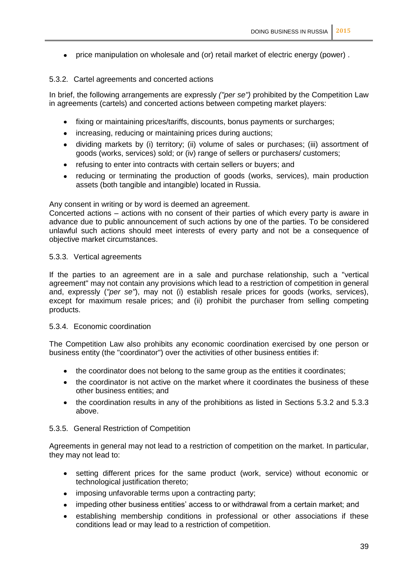price manipulation on wholesale and (or) retail market of electric energy (power) .

#### 5.3.2. Cartel agreements and concerted actions

In brief, the following arrangements are expressly *("per se")* prohibited by the Competition Law in agreements (cartels) and concerted actions between competing market players:

- fixing or maintaining prices/tariffs, discounts, bonus payments or surcharges;  $\bullet$
- increasing, reducing or maintaining prices during auctions;  $\bullet$
- dividing markets by (i) territory; (ii) volume of sales or purchases; (iii) assortment of  $\bullet$ goods (works, services) sold; or (iv) range of sellers or purchasers/ customers;
- refusing to enter into contracts with certain sellers or buyers; and  $\bullet$
- reducing or terminating the production of goods (works, services), main production assets (both tangible and intangible) located in Russia.

Any consent in writing or by word is deemed an agreement.

Concerted actions – actions with no consent of their parties of which every party is aware in advance due to public announcement of such actions by one of the parties. To be considered unlawful such actions should meet interests of every party and not be a consequence of objective market circumstances.

#### 5.3.3. Vertical agreements

If the parties to an agreement are in a sale and purchase relationship, such a "vertical agreement" may not contain any provisions which lead to a restriction of competition in general and, expressly (*"per se"*), may not (i) establish resale prices for goods (works, services), except for maximum resale prices; and (ii) prohibit the purchaser from selling competing products.

#### 5.3.4. Economic coordination

The Competition Law also prohibits any economic coordination exercised by one person or business entity (the "coordinator") over the activities of other business entities if:

- the coordinator does not belong to the same group as the entities it coordinates;  $\bullet$
- the coordinator is not active on the market where it coordinates the business of these  $\bullet$ other business entities; and
- the coordination results in any of the prohibitions as listed in Sections 5.3.2 and 5.3.3  $\bullet$ above.

#### 5.3.5. General Restriction of Competition

Agreements in general may not lead to a restriction of competition on the market. In particular, they may not lead to:

- $\bullet$ setting different prices for the same product (work, service) without economic or technological justification thereto;
- imposing unfavorable terms upon a contracting party;  $\bullet$
- impeding other business entities' access to or withdrawal from a certain market; and
- establishing membership conditions in professional or other associations if these conditions lead or may lead to a restriction of competition.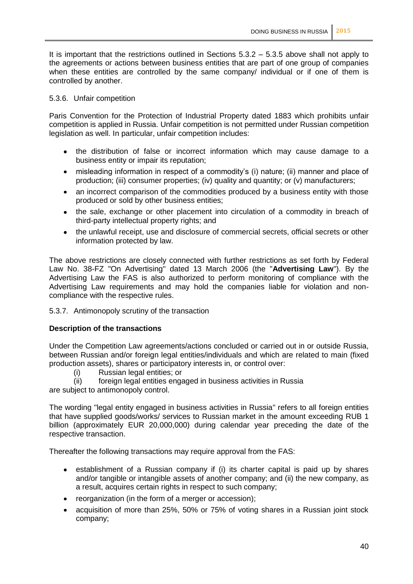It is important that the restrictions outlined in Sections 5.3.2 – 5.3.5 above shall not apply to the agreements or actions between business entities that are part of one group of companies when these entities are controlled by the same company/ individual or if one of them is controlled by another.

#### 5.3.6. Unfair competition

Paris Convention for the Protection of Industrial Property dated 1883 which prohibits unfair competition is applied in Russia. Unfair competition is not permitted under Russian competition legislation as well. In particular, unfair competition includes:

- the distribution of false or incorrect information which may cause damage to a business entity or impair its reputation;
- misleading information in respect of a commodity's (i) nature; (ii) manner and place of  $\bullet$ production; (iii) consumer properties; (iv) quality and quantity; or (v) manufacturers;
- $\bullet$ an incorrect comparison of the commodities produced by a business entity with those produced or sold by other business entities;
- the sale, exchange or other placement into circulation of a commodity in breach of third-party intellectual property rights; and
- the unlawful receipt, use and disclosure of commercial secrets, official secrets or other  $\bullet$ information protected by law.

The above restrictions are closely connected with further restrictions as set forth by Federal Law No. 38-FZ "On Advertising" dated 13 March 2006 (the "**Advertising Law**"). By the Advertising Law the FAS is also authorized to perform monitoring of compliance with the Advertising Law requirements and may hold the companies liable for violation and noncompliance with the respective rules.

#### 5.3.7. Antimonopoly scrutiny of the transaction

#### **Description of the transactions**

Under the Competition Law agreements/actions concluded or carried out in or outside Russia, between Russian and/or foreign legal entities/individuals and which are related to main (fixed production assets), shares or participatory interests in, or control over:

(i) Russian legal entities; or

(ii) foreign legal entities engaged in business activities in Russia

are subject to antimonopoly control.

The wording "legal entity engaged in business activities in Russia" refers to all foreign entities that have supplied goods/works/ services to Russian market in the amount exceeding RUB 1 billion (approximately EUR 20,000,000) during calendar year preceding the date of the respective transaction.

Thereafter the following transactions may require approval from the FAS:

- establishment of a Russian company if (i) its charter capital is paid up by shares  $\bullet$ and/or tangible or intangible assets of another company; and (ii) the new company, as a result, acquires certain rights in respect to such company;
- reorganization (in the form of a merger or accession);
- acquisition of more than 25%, 50% or 75% of voting shares in a Russian joint stock company;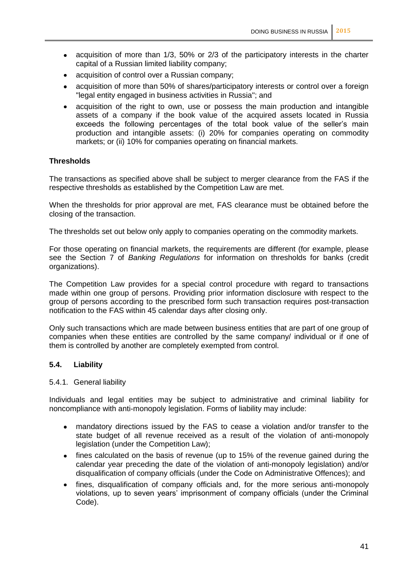- $\bullet$ acquisition of more than 1/3, 50% or 2/3 of the participatory interests in the charter capital of a Russian limited liability company;
- acquisition of control over a Russian company;  $\bullet$
- acquisition of more than 50% of shares/participatory interests or control over a foreign "legal entity engaged in business activities in Russia"; and
- acquisition of the right to own, use or possess the main production and intangible assets of a company if the book value of the acquired assets located in Russia exceeds the following percentages of the total book value of the seller's main production and intangible assets: (i) 20% for companies operating on commodity markets; or (ii) 10% for companies operating on financial markets.

#### **Thresholds**

The transactions as specified above shall be subject to merger clearance from the FAS if the respective thresholds as established by the Competition Law are met.

When the thresholds for prior approval are met, FAS clearance must be obtained before the closing of the transaction.

The thresholds set out below only apply to companies operating on the commodity markets.

For those operating on financial markets, the requirements are different (for example, please see the Section 7 of *Banking Regulations* for information on thresholds for banks (credit organizations).

The Competition Law provides for a special control procedure with regard to transactions made within one group of persons. Providing prior information disclosure with respect to the group of persons according to the prescribed form such transaction requires post-transaction notification to the FAS within 45 calendar days after closing only.

Only such transactions which are made between business entities that are part of one group of companies when these entities are controlled by the same company/ individual or if one of them is controlled by another are completely exempted from control.

#### **5.4. Liability**

#### 5.4.1. General liability

Individuals and legal entities may be subject to administrative and criminal liability for noncompliance with anti-monopoly legislation. Forms of liability may include:

- mandatory directions issued by the FAS to cease a violation and/or transfer to the  $\bullet$ state budget of all revenue received as a result of the violation of anti-monopoly legislation (under the Competition Law);
- $\bullet$ fines calculated on the basis of revenue (up to 15% of the revenue gained during the calendar year preceding the date of the violation of anti-monopoly legislation) and/or disqualification of company officials (under the Code on Administrative Offences); and
- fines, disqualification of company officials and, for the more serious anti-monopoly violations, up to seven years' imprisonment of company officials (under the Criminal Code).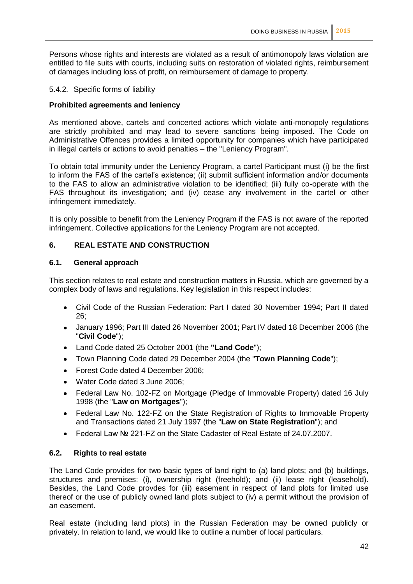Persons whose rights and interests are violated as a result of antimonopoly laws violation are entitled to file suits with courts, including suits on restoration of violated rights, reimbursement of damages including loss of profit, on reimbursement of damage to property.

#### 5.4.2. Specific forms of liability

#### **Prohibited agreements and leniency**

As mentioned above, cartels and concerted actions which violate anti-monopoly regulations are strictly prohibited and may lead to severe sanctions being imposed. The Code on Administrative Offences provides a limited opportunity for companies which have participated in illegal cartels or actions to avoid penalties – the "Leniency Program".

To obtain total immunity under the Leniency Program, a cartel Participant must (i) be the first to inform the FAS of the cartel's existence; (ii) submit sufficient information and/or documents to the FAS to allow an administrative violation to be identified; (iii) fully co-operate with the FAS throughout its investigation; and (iv) cease any involvement in the cartel or other infringement immediately.

It is only possible to benefit from the Leniency Program if the FAS is not aware of the reported infringement. Collective applications for the Leniency Program are not accepted.

#### **6. REAL ESTATE AND CONSTRUCTION**

#### **6.1. General approach**

This section relates to real estate and construction matters in Russia, which are governed by a complex body of laws and regulations. Key legislation in this respect includes:

- $\bullet$ Civil Code of the Russian Federation: Part I dated 30 November 1994; Part II dated  $26$
- January 1996; Part III dated 26 November 2001; Part IV dated 18 December 2006 (the  $\bullet$ "**Civil Code**");
- $\bullet$ Land Code dated 25 October 2001 (the **"Land Code**");
- Town Planning Code dated 29 December 2004 (the "**Town Planning Code**");
- Forest Code dated 4 December 2006;
- Water Code dated 3 June 2006;
- Federal Law No. 102-FZ on Mortgage (Pledge of Immovable Property) dated 16 July  $\bullet$ 1998 (the "**Law on Mortgages**");
- Federal Law No. 122-FZ on the State Registration of Rights to Immovable Property  $\bullet$ and Transactions dated 21 July 1997 (the "**Law on State Registration**"); and
- Federal Law № 221-FZ on the State Cadaster of Real Estate of 24.07.2007.  $\bullet$

#### **6.2. Rights to real estate**

The Land Code provides for two basic types of land right to (a) land plots; and (b) buildings, structures and premises: (i), ownership right (freehold); and (ii) lease right (leasehold). Besides, the Land Code provdes for (iii) easement in respect of land plots for limited use thereof or the use of publicly owned land plots subject to (iv) a permit without the provision of an easement.

Real estate (including land plots) in the Russian Federation may be owned publicly or privately. In relation to land, we would like to outline a number of local particulars.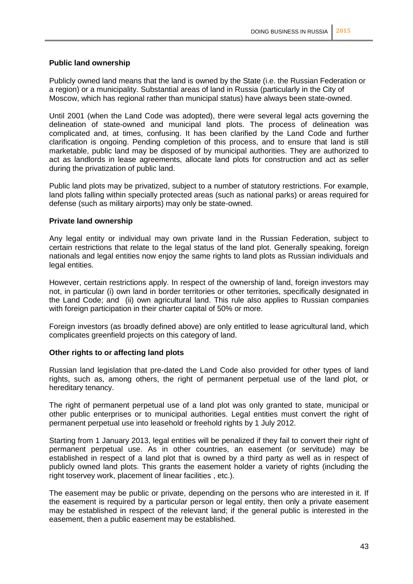#### **Public land ownership**

Publicly owned land means that the land is owned by the State (i.e. the Russian Federation or a region) or a municipality. Substantial areas of land in Russia (particularly in the City of Moscow, which has regional rather than municipal status) have always been state-owned.

Until 2001 (when the Land Code was adopted), there were several legal acts governing the delineation of state-owned and municipal land plots. The process of delineation was complicated and, at times, confusing. It has been clarified by the Land Code and further clarification is ongoing. Pending completion of this process, and to ensure that land is still marketable, public land may be disposed of by municipal authorities. They are authorized to act as landlords in lease agreements, allocate land plots for construction and act as seller during the privatization of public land.

Public land plots may be privatized, subject to a number of statutory restrictions. For example, land plots falling within specially protected areas (such as national parks) or areas required for defense (such as military airports) may only be state-owned.

#### **Private land ownership**

Any legal entity or individual may own private land in the Russian Federation, subject to certain restrictions that relate to the legal status of the land plot. Generally speaking, foreign nationals and legal entities now enjoy the same rights to land plots as Russian individuals and legal entities.

However, certain restrictions apply. In respect of the ownership of land, foreign investors may not, in particular (i) own land in border territories or other territories, specifically designated in the Land Code; and (ii) own agricultural land. This rule also applies to Russian companies with foreign participation in their charter capital of 50% or more.

Foreign investors (as broadly defined above) are only entitled to lease agricultural land, which complicates greenfield projects on this category of land.

#### **Other rights to or affecting land plots**

Russian land legislation that pre-dated the Land Code also provided for other types of land rights, such as, among others, the right of permanent perpetual use of the land plot, or hereditary tenancy.

The right of permanent perpetual use of a land plot was only granted to state, municipal or other public enterprises or to municipal authorities. Legal entities must convert the right of permanent perpetual use into leasehold or freehold rights by 1 July 2012.

Starting from 1 January 2013, legal entities will be penalized if they fail to convert their right of permanent perpetual use. As in other countries, an easement (or servitude) may be established in respect of a land plot that is owned by a third party as well as in respect of publicly owned land plots. This grants the easement holder a variety of rights (including the right toservey work, placement of linear facilities , etc.).

The easement may be public or private, depending on the persons who are interested in it. If the easement is required by a particular person or legal entity, then only a private easement may be established in respect of the relevant land; if the general public is interested in the easement, then a public easement may be established.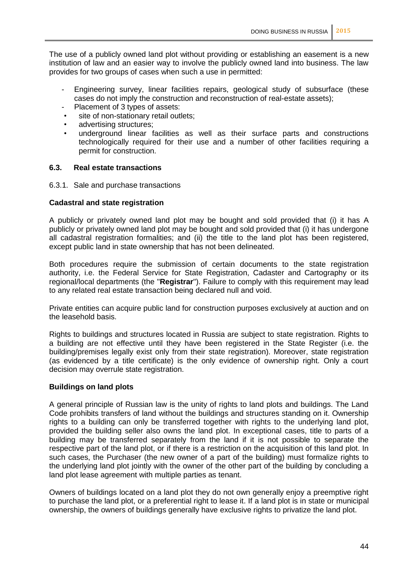The use of a publicly owned land plot without providing or establishing an easement is a new institution of law and an easier way to involve the publicly owned land into business. The law provides for two groups of cases when such a use in permitted:

- Engineering survey, linear facilities repairs, geological study of subsurface (these cases do not imply the construction and reconstruction of real-estate assets);
- Placement of 3 types of assets:
- site of non-stationary retail outlets;
- advertising structures:
- underground linear facilities as well as their surface parts and constructions technologically required for their use and a number of other facilities requiring a permit for construction.

#### **6.3. Real estate transactions**

6.3.1. Sale and purchase transactions

#### **Cadastral and state registration**

A publicly or privately owned land plot may be bought and sold provided that (i) it has A publicly or privately owned land plot may be bought and sold provided that (i) it has undergone all cadastral registration formalities; and (ii) the title to the land plot has been registered, except public land in state ownership that has not been delineated.

Both procedures require the submission of certain documents to the state registration authority, i.e. the Federal Service for State Registration, Cadaster and Cartography or its regional/local departments (the "**Registrar**"). Failure to comply with this requirement may lead to any related real estate transaction being declared null and void.

Private entities can acquire public land for construction purposes exclusively at auction and on the leasehold basis.

Rights to buildings and structures located in Russia are subject to state registration. Rights to a building are not effective until they have been registered in the State Register (i.e. the building/premises legally exist only from their state registration). Moreover, state registration (as evidenced by a title certificate) is the only evidence of ownership right. Only a court decision may overrule state registration.

#### **Buildings on land plots**

A general principle of Russian law is the unity of rights to land plots and buildings. The Land Code prohibits transfers of land without the buildings and structures standing on it. Ownership rights to a building can only be transferred together with rights to the underlying land plot. provided the building seller also owns the land plot. In exceptional cases, title to parts of a building may be transferred separately from the land if it is not possible to separate the respective part of the land plot, or if there is a restriction on the acquisition of this land plot. In such cases, the Purchaser (the new owner of a part of the building) must formalize rights to the underlying land plot jointly with the owner of the other part of the building by concluding a land plot lease agreement with multiple parties as tenant.

Owners of buildings located on a land plot they do not own generally enjoy a preemptive right to purchase the land plot, or a preferential right to lease it. If a land plot is in state or municipal ownership, the owners of buildings generally have exclusive rights to privatize the land plot.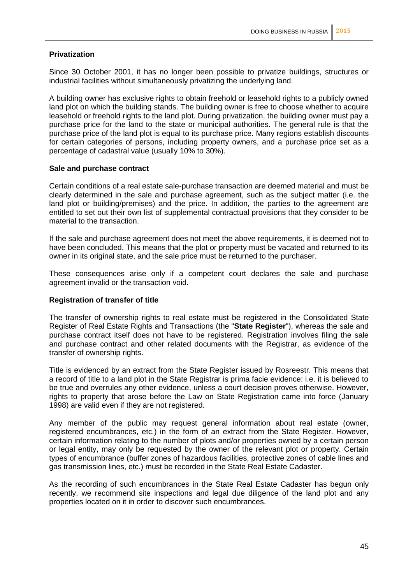#### **Privatization**

Since 30 October 2001, it has no longer been possible to privatize buildings, structures or industrial facilities without simultaneously privatizing the underlying land.

A building owner has exclusive rights to obtain freehold or leasehold rights to a publicly owned land plot on which the building stands. The building owner is free to choose whether to acquire leasehold or freehold rights to the land plot. During privatization, the building owner must pay a purchase price for the land to the state or municipal authorities. The general rule is that the purchase price of the land plot is equal to its purchase price. Many regions establish discounts for certain categories of persons, including property owners, and a purchase price set as a percentage of cadastral value (usually 10% to 30%).

#### **Sale and purchase contract**

Certain conditions of a real estate sale-purchase transaction are deemed material and must be clearly determined in the sale and purchase agreement, such as the subject matter (i.e. the land plot or building/premises) and the price. In addition, the parties to the agreement are entitled to set out their own list of supplemental contractual provisions that they consider to be material to the transaction.

If the sale and purchase agreement does not meet the above requirements, it is deemed not to have been concluded. This means that the plot or property must be vacated and returned to its owner in its original state, and the sale price must be returned to the purchaser.

These consequences arise only if a competent court declares the sale and purchase agreement invalid or the transaction void.

#### **Registration of transfer of title**

The transfer of ownership rights to real estate must be registered in the Consolidated State Register of Real Estate Rights and Transactions (the "**State Register**"), whereas the sale and purchase contract itself does not have to be registered. Registration involves filing the sale and purchase contract and other related documents with the Registrar, as evidence of the transfer of ownership rights.

Title is evidenced by an extract from the State Register issued by Rosreestr. This means that a record of title to a land plot in the State Registrar is prima facie evidence: i.e. it is believed to be true and overrules any other evidence, unless a court decision proves otherwise. However, rights to property that arose before the Law on State Registration came into force (January 1998) are valid even if they are not registered.

Any member of the public may request general information about real estate (owner, registered encumbrances, etc.) in the form of an extract from the State Register. However, certain information relating to the number of plots and/or properties owned by a certain person or legal entity, may only be requested by the owner of the relevant plot or property. Certain types of encumbrance (buffer zones of hazardous facilities, protective zones of cable lines and gas transmission lines, etc.) must be recorded in the State Real Estate Cadaster.

As the recording of such encumbrances in the State Real Estate Cadaster has begun only recently, we recommend site inspections and legal due diligence of the land plot and any properties located on it in order to discover such encumbrances.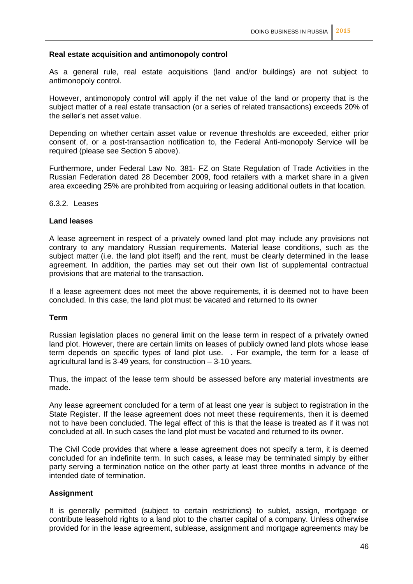#### **Real estate acquisition and antimonopoly control**

As a general rule, real estate acquisitions (land and/or buildings) are not subject to antimonopoly control.

However, antimonopoly control will apply if the net value of the land or property that is the subject matter of a real estate transaction (or a series of related transactions) exceeds 20% of the seller's net asset value.

Depending on whether certain asset value or revenue thresholds are exceeded, either prior consent of, or a post-transaction notification to, the Federal Anti-monopoly Service will be required (please see Section 5 above).

Furthermore, under Federal Law No. 381- FZ on State Regulation of Trade Activities in the Russian Federation dated 28 December 2009, food retailers with a market share in a given area exceeding 25% are prohibited from acquiring or leasing additional outlets in that location.

6.3.2. Leases

#### **Land leases**

A lease agreement in respect of a privately owned land plot may include any provisions not contrary to any mandatory Russian requirements. Material lease conditions, such as the subject matter (i.e. the land plot itself) and the rent, must be clearly determined in the lease agreement. In addition, the parties may set out their own list of supplemental contractual provisions that are material to the transaction.

If a lease agreement does not meet the above requirements, it is deemed not to have been concluded. In this case, the land plot must be vacated and returned to its owner

#### **Term**

Russian legislation places no general limit on the lease term in respect of a privately owned land plot. However, there are certain limits on leases of publicly owned land plots whose lease term depends on specific types of land plot use. . For example, the term for a lease of agricultural land is 3-49 years, for construction – 3-10 years.

Thus, the impact of the lease term should be assessed before any material investments are made.

Any lease agreement concluded for a term of at least one year is subject to registration in the State Register. If the lease agreement does not meet these requirements, then it is deemed not to have been concluded. The legal effect of this is that the lease is treated as if it was not concluded at all. In such cases the land plot must be vacated and returned to its owner.

The Civil Code provides that where a lease agreement does not specify a term, it is deemed concluded for an indefinite term. In such cases, a lease may be terminated simply by either party serving a termination notice on the other party at least three months in advance of the intended date of termination.

#### **Assignment**

It is generally permitted (subject to certain restrictions) to sublet, assign, mortgage or contribute leasehold rights to a land plot to the charter capital of a company. Unless otherwise provided for in the lease agreement, sublease, assignment and mortgage agreements may be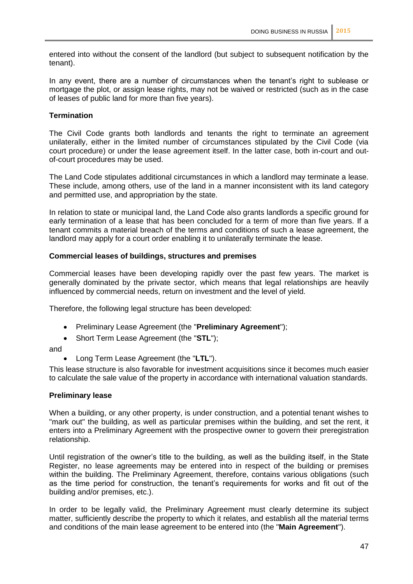entered into without the consent of the landlord (but subject to subsequent notification by the tenant).

In any event, there are a number of circumstances when the tenant's right to sublease or mortgage the plot, or assign lease rights, may not be waived or restricted (such as in the case of leases of public land for more than five years).

#### **Termination**

The Civil Code grants both landlords and tenants the right to terminate an agreement unilaterally, either in the limited number of circumstances stipulated by the Civil Code (via court procedure) or under the lease agreement itself. In the latter case, both in-court and outof-court procedures may be used.

The Land Code stipulates additional circumstances in which a landlord may terminate a lease. These include, among others, use of the land in a manner inconsistent with its land category and permitted use, and appropriation by the state.

In relation to state or municipal land, the Land Code also grants landlords a specific ground for early termination of a lease that has been concluded for a term of more than five years. If a tenant commits a material breach of the terms and conditions of such a lease agreement, the landlord may apply for a court order enabling it to unilaterally terminate the lease.

#### **Commercial leases of buildings, structures and premises**

Commercial leases have been developing rapidly over the past few years. The market is generally dominated by the private sector, which means that legal relationships are heavily influenced by commercial needs, return on investment and the level of yield.

Therefore, the following legal structure has been developed:

- Preliminary Lease Agreement (the "**Preliminary Agreement**");  $\bullet$
- Short Term Lease Agreement (the "**STL**");  $\bullet$

and

Long Term Lease Agreement (the "**LTL**").

This lease structure is also favorable for investment acquisitions since it becomes much easier to calculate the sale value of the property in accordance with international valuation standards.

#### **Preliminary lease**

When a building, or any other property, is under construction, and a potential tenant wishes to "mark out" the building, as well as particular premises within the building, and set the rent, it enters into a Preliminary Agreement with the prospective owner to govern their preregistration relationship.

Until registration of the owner's title to the building, as well as the building itself, in the State Register, no lease agreements may be entered into in respect of the building or premises within the building. The Preliminary Agreement, therefore, contains various obligations (such as the time period for construction, the tenant's requirements for works and fit out of the building and/or premises, etc.).

In order to be legally valid, the Preliminary Agreement must clearly determine its subject matter, sufficiently describe the property to which it relates, and establish all the material terms and conditions of the main lease agreement to be entered into (the "**Main Agreement**").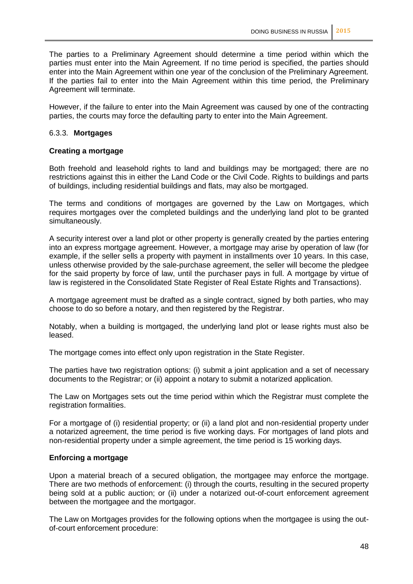The parties to a Preliminary Agreement should determine a time period within which the parties must enter into the Main Agreement. If no time period is specified, the parties should enter into the Main Agreement within one year of the conclusion of the Preliminary Agreement. If the parties fail to enter into the Main Agreement within this time period, the Preliminary Agreement will terminate.

However, if the failure to enter into the Main Agreement was caused by one of the contracting parties, the courts may force the defaulting party to enter into the Main Agreement.

#### 6.3.3. **Mortgages**

#### **Creating a mortgage**

Both freehold and leasehold rights to land and buildings may be mortgaged; there are no restrictions against this in either the Land Code or the Civil Code. Rights to buildings and parts of buildings, including residential buildings and flats, may also be mortgaged.

The terms and conditions of mortgages are governed by the Law on Mortgages, which requires mortgages over the completed buildings and the underlying land plot to be granted simultaneously.

A security interest over a land plot or other property is generally created by the parties entering into an express mortgage agreement. However, a mortgage may arise by operation of law (for example, if the seller sells a property with payment in installments over 10 years. In this case, unless otherwise provided by the sale-purchase agreement, the seller will become the pledgee for the said property by force of law, until the purchaser pays in full. A mortgage by virtue of law is registered in the Consolidated State Register of Real Estate Rights and Transactions).

A mortgage agreement must be drafted as a single contract, signed by both parties, who may choose to do so before a notary, and then registered by the Registrar.

Notably, when a building is mortgaged, the underlying land plot or lease rights must also be leased.

The mortgage comes into effect only upon registration in the State Register.

The parties have two registration options: (i) submit a joint application and a set of necessary documents to the Registrar; or (ii) appoint a notary to submit a notarized application.

The Law on Mortgages sets out the time period within which the Registrar must complete the registration formalities.

For a mortgage of (i) residential property; or (ii) a land plot and non-residential property under a notarized agreement, the time period is five working days. For mortgages of land plots and non-residential property under a simple agreement, the time period is 15 working days.

#### **Enforcing a mortgage**

Upon a material breach of a secured obligation, the mortgagee may enforce the mortgage. There are two methods of enforcement: (i) through the courts, resulting in the secured property being sold at a public auction; or (ii) under a notarized out-of-court enforcement agreement between the mortgagee and the mortgagor.

The Law on Mortgages provides for the following options when the mortgagee is using the outof-court enforcement procedure: